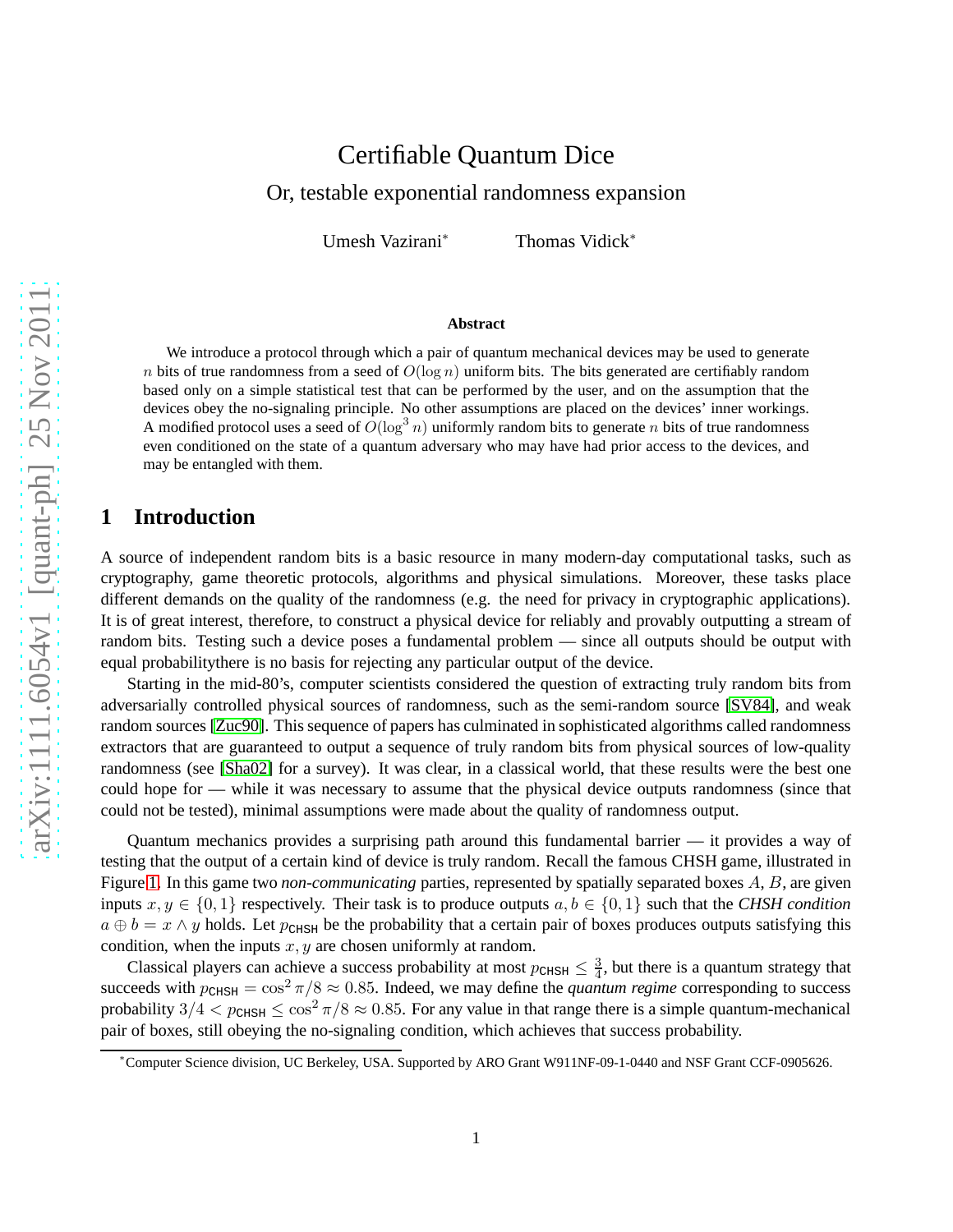# Certifiable Quantum Dice

Or, testable exponential randomness expansion

Umesh Vazirani<sup>∗</sup> Thomas Vidick<sup>∗</sup>

#### **Abstract**

We introduce a protocol through which a pair of quantum mechanical devices may be used to generate n bits of true randomness from a seed of  $O(\log n)$  uniform bits. The bits generated are certifiably random based only on a simple statistical test that can be performed by the user, and on the assumption that the devices obey the no-signaling principle. No other assumptions are placed on the devices' inner workings. A modified protocol uses a seed of  $O(\log^3 n)$  uniformly random bits to generate n bits of true randomness even conditioned on the state of a quantum adversary who may have had prior access to the devices, and may be entangled with them.

# **1 Introduction**

A source of independent random bits is a basic resource in many modern-day computational tasks, such as cryptography, game theoretic protocols, algorithms and physical simulations. Moreover, these tasks place different demands on the quality of the randomness (e.g. the need for privacy in cryptographic applications). It is of great interest, therefore, to construct a physical device for reliably and provably outputting a stream of random bits. Testing such a device poses a fundamental problem — since all outputs should be output with equal probabilitythere is no basis for rejecting any particular output of the device.

Starting in the mid-80's, computer scientists considered the question of extracting truly random bits from adversarially controlled physical sources of randomness, such as the semi-random source [\[SV84\]](#page-15-0), and weak random sources [\[Zuc90\]](#page-15-1). This sequence of papers has culminated in sophisticated algorithms called randomness extractors that are guaranteed to output a sequence of truly random bits from physical sources of low-quality randomness (see [\[Sha02\]](#page-15-2) for a survey). It was clear, in a classical world, that these results were the best one could hope for — while it was necessary to assume that the physical device outputs randomness (since that could not be tested), minimal assumptions were made about the quality of randomness output.

Quantum mechanics provides a surprising path around this fundamental barrier — it provides a way of testing that the output of a certain kind of device is truly random. Recall the famous CHSH game, illustrated in Figure [1.](#page-1-0) In this game two *non-communicating* parties, represented by spatially separated boxes A, B, are given inputs  $x, y \in \{0, 1\}$  respectively. Their task is to produce outputs  $a, b \in \{0, 1\}$  such that the *CHSH condition*  $a \oplus b = x \wedge y$  holds. Let  $p_{\text{CHSH}}$  be the probability that a certain pair of boxes produces outputs satisfying this condition, when the inputs  $x, y$  are chosen uniformly at random.

Classical players can achieve a success probability at most  $p_{\text{CHSH}} \leq \frac{3}{4}$  $\frac{3}{4}$ , but there is a quantum strategy that succeeds with  $p_{\text{CHSH}} = \cos^2 \pi/8 \approx 0.85$ . Indeed, we may define the *quantum regime* corresponding to success probability  $3/4 < p_{CHSH} \leq \cos^2 \pi/8 \approx 0.85$ . For any value in that range there is a simple quantum-mechanical pair of boxes, still obeying the no-signaling condition, which achieves that success probability.

<sup>∗</sup>Computer Science division, UC Berkeley, USA. Supported by ARO Grant W911NF-09-1-0440 and NSF Grant CCF-0905626.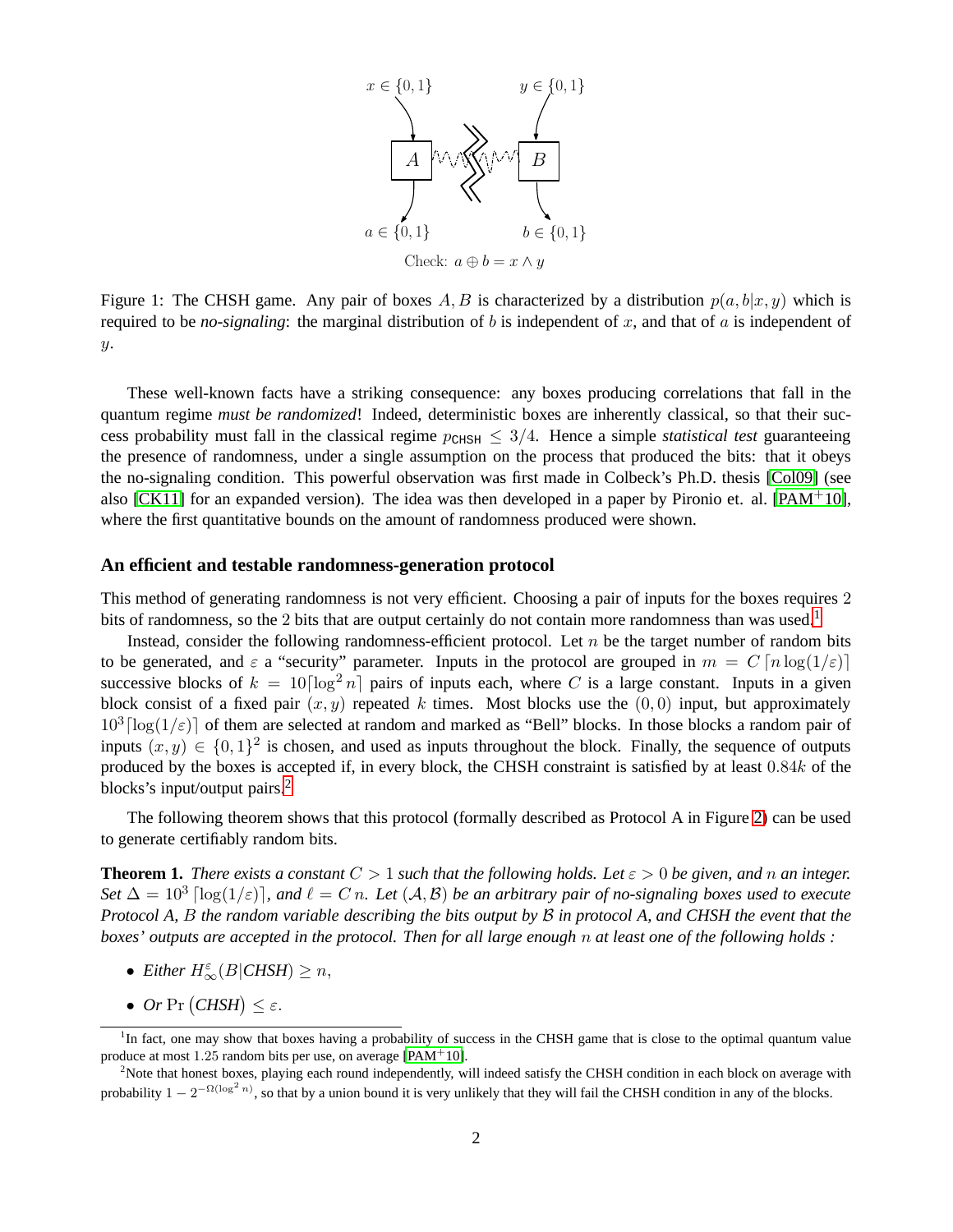

<span id="page-1-0"></span>Figure 1: The CHSH game. Any pair of boxes A, B is characterized by a distribution  $p(a, b|x, y)$  which is required to be *no-signaling*: the marginal distribution of b is independent of x, and that of  $\alpha$  is independent of  $y$ .

These well-known facts have a striking consequence: any boxes producing correlations that fall in the quantum regime *must be randomized*! Indeed, deterministic boxes are inherently classical, so that their success probability must fall in the classical regime  $p_{\text{CHSH}} \leq 3/4$ . Hence a simple *statistical test* guaranteeing the presence of randomness, under a single assumption on the process that produced the bits: that it obeys the no-signaling condition. This powerful observation was first made in Colbeck's Ph.D. thesis [\[Col09\]](#page-14-0) (see also [\[CK11\]](#page-14-1) for an expanded version). The idea was then developed in a paper by Pironio et. al. [\[PAM](#page-15-3)<sup>+</sup>10], where the first quantitative bounds on the amount of randomness produced were shown.

#### **An efficient and testable randomness-generation protocol**

This method of generating randomness is not very efficient. Choosing a pair of inputs for the boxes requires 2 bits of randomness, so the 2 bits that are output certainly do not contain more randomness than was used.<sup>[1](#page-1-1)</sup>

Instead, consider the following randomness-efficient protocol. Let  $n$  be the target number of random bits to be generated, and  $\varepsilon$  a "security" parameter. Inputs in the protocol are grouped in  $m = C \left[ n \log(1/\varepsilon) \right]$ successive blocks of  $k = 10 \lceil \log^2 n \rceil$  pairs of inputs each, where C is a large constant. Inputs in a given block consist of a fixed pair  $(x, y)$  repeated k times. Most blocks use the  $(0, 0)$  input, but approximately  $10^3 \lceil \log(1/\varepsilon) \rceil$  of them are selected at random and marked as "Bell" blocks. In those blocks a random pair of inputs  $(x, y) \in \{0, 1\}^2$  is chosen, and used as inputs throughout the block. Finally, the sequence of outputs produced by the boxes is accepted if, in every block, the CHSH constraint is satisfied by at least 0.84k of the blocks's input/output pairs.<sup>[2](#page-1-2)</sup>

The following theorem shows that this protocol (formally described as Protocol A in Figure [2\)](#page-2-0) can be used to generate certifiably random bits.

<span id="page-1-3"></span>**Theorem 1.** *There exists a constant*  $C > 1$  *such that the following holds. Let*  $\epsilon > 0$  *be given, and* n *an integer.* Set  $\Delta = 10^3$  [log( $1/\varepsilon$ )], and  $\ell = C$  n. Let  $(\mathcal{A}, \mathcal{B})$  be an arbitrary pair of no-signaling boxes used to execute *Protocol A,* B *the random variable describing the bits output by* B *in protocol A, and CHSH the event that the boxes' outputs are accepted in the protocol. Then for all large enough* n *at least one of the following holds :*

- *Either*  $H_{\infty}^{\varepsilon}(B|CHSH) \geq n$ ,
- $Or \Pr (CHSH) \leq \varepsilon$ .

<span id="page-1-1"></span><sup>&</sup>lt;sup>1</sup>In fact, one may show that boxes having a probability of success in the CHSH game that is close to the optimal quantum value produce at most 1.25 random bits per use, on average  $[PAM^+10]$ .

<span id="page-1-2"></span><sup>&</sup>lt;sup>2</sup>Note that honest boxes, playing each round independently, will indeed satisfy the CHSH condition in each block on average with probability  $1 - 2^{-\Omega(\log^2 n)}$ , so that by a union bound it is very unlikely that they will fail the CHSH condition in any of the blocks.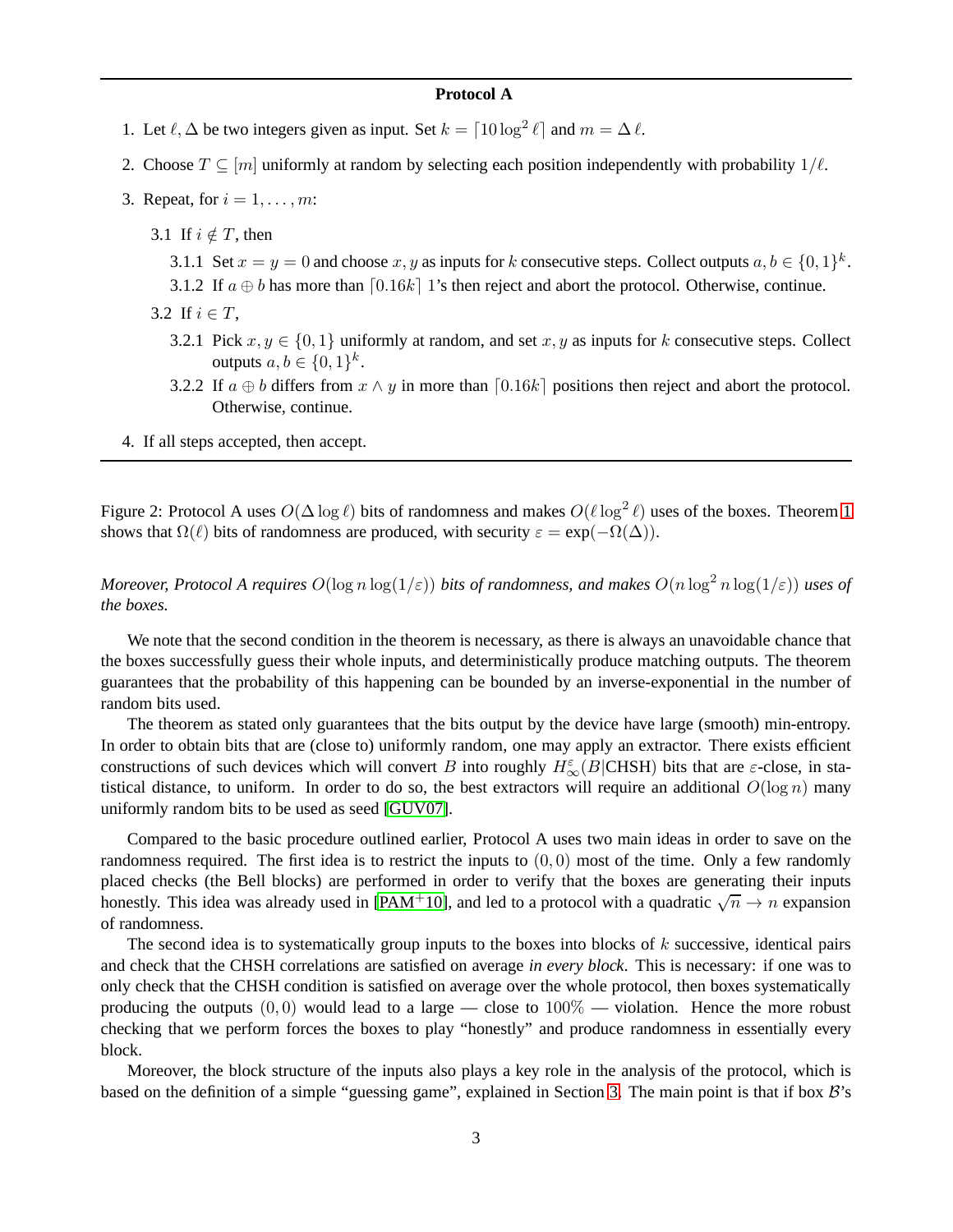#### **Protocol A**

- 1. Let  $\ell$ ,  $\Delta$  be two integers given as input. Set  $k = \lceil 10 \log^2 \ell \rceil$  and  $m = \Delta \ell$ .
- 2. Choose  $T \subseteq [m]$  uniformly at random by selecting each position independently with probability  $1/\ell$ .
- 3. Repeat, for  $i = 1, \ldots, m$ :
	- 3.1 If  $i \notin T$ , then
		- 3.1.1 Set  $x = y = 0$  and choose x, y as inputs for k consecutive steps. Collect outputs  $a, b \in \{0, 1\}^k$ .
		- 3.1.2 If  $a \oplus b$  has more than  $[0.16k]$  1's then reject and abort the protocol. Otherwise, continue.
	- 3.2 If  $i \in T$ .
		- 3.2.1 Pick  $x, y \in \{0, 1\}$  uniformly at random, and set  $x, y$  as inputs for k consecutive steps. Collect outputs  $a, b \in \{0, 1\}^k$ .
		- 3.2.2 If  $a \oplus b$  differs from  $x \wedge y$  in more than  $\lceil 0.16k \rceil$  positions then reject and abort the protocol. Otherwise, continue.
- 4. If all steps accepted, then accept.

<span id="page-2-0"></span>Figure 2: Protocol A uses  $O(\Delta \log \ell)$  bits of randomness and makes  $O(\ell \log^2 \ell)$  uses of the boxes. Theorem [1](#page-1-3) shows that  $\Omega(\ell)$  bits of randomness are produced, with security  $\varepsilon = \exp(-\Omega(\Delta)).$ 

*Moreover, Protocol A requires*  $O(\log n \log(1/\varepsilon))$  *bits of randomness, and makes*  $O(n \log^2 n \log(1/\varepsilon))$  *uses of the boxes.*

We note that the second condition in the theorem is necessary, as there is always an unavoidable chance that the boxes successfully guess their whole inputs, and deterministically produce matching outputs. The theorem guarantees that the probability of this happening can be bounded by an inverse-exponential in the number of random bits used.

The theorem as stated only guarantees that the bits output by the device have large (smooth) min-entropy. In order to obtain bits that are (close to) uniformly random, one may apply an extractor. There exists efficient constructions of such devices which will convert B into roughly  $H_{\infty}^{\varepsilon}(B|CHSH)$  bits that are  $\varepsilon$ -close, in statistical distance, to uniform. In order to do so, the best extractors will require an additional  $O(\log n)$  many uniformly random bits to be used as seed [\[GUV07\]](#page-14-2).

Compared to the basic procedure outlined earlier, Protocol A uses two main ideas in order to save on the randomness required. The first idea is to restrict the inputs to  $(0, 0)$  most of the time. Only a few randomly placed checks (the Bell blocks) are performed in order to verify that the boxes are generating their inputs honestly. This idea was already used in [\[PAM](#page-15-3)<sup>+</sup>10], and led to a protocol with a quadratic  $\sqrt{n} \to n$  expansion of randomness.

The second idea is to systematically group inputs to the boxes into blocks of  $k$  successive, identical pairs and check that the CHSH correlations are satisfied on average *in every block*. This is necessary: if one was to only check that the CHSH condition is satisfied on average over the whole protocol, then boxes systematically producing the outputs  $(0, 0)$  would lead to a large — close to  $100\%$  — violation. Hence the more robust checking that we perform forces the boxes to play "honestly" and produce randomness in essentially every block.

Moreover, the block structure of the inputs also plays a key role in the analysis of the protocol, which is based on the definition of a simple "guessing game", explained in Section [3.](#page-6-0) The main point is that if box  $B$ 's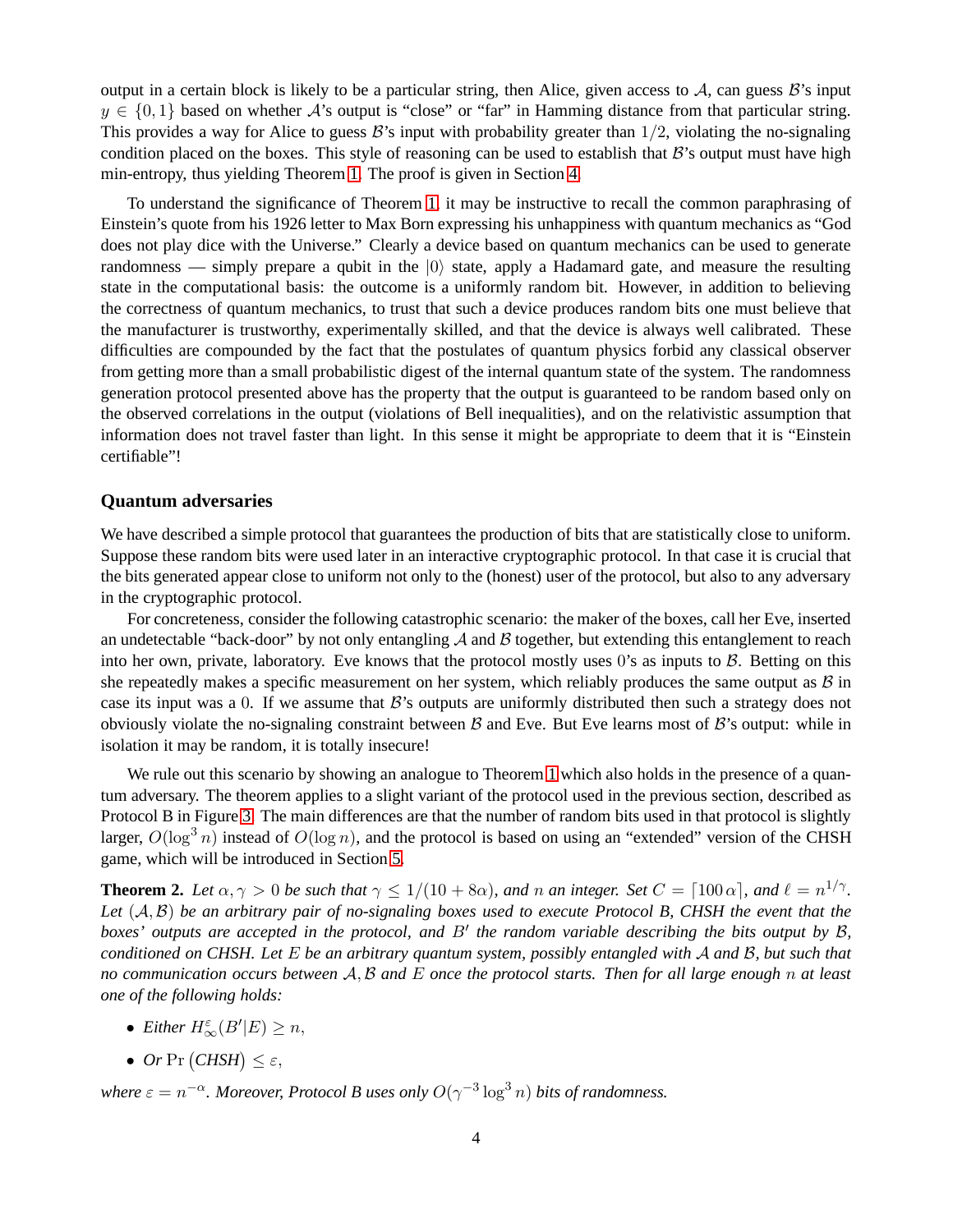output in a certain block is likely to be a particular string, then Alice, given access to  $A$ , can guess  $B$ 's input  $y \in \{0, 1\}$  based on whether A's output is "close" or "far" in Hamming distance from that particular string. This provides a way for Alice to guess  $\mathcal{B}$ 's input with probability greater than  $1/2$ , violating the no-signaling condition placed on the boxes. This style of reasoning can be used to establish that  $\mathcal{B}'$ 's output must have high min-entropy, thus yielding Theorem [1.](#page-1-3) The proof is given in Section [4.](#page-8-0)

To understand the significance of Theorem [1,](#page-1-3) it may be instructive to recall the common paraphrasing of Einstein's quote from his 1926 letter to Max Born expressing his unhappiness with quantum mechanics as "God does not play dice with the Universe." Clearly a device based on quantum mechanics can be used to generate randomness — simply prepare a qubit in the  $|0\rangle$  state, apply a Hadamard gate, and measure the resulting state in the computational basis: the outcome is a uniformly random bit. However, in addition to believing the correctness of quantum mechanics, to trust that such a device produces random bits one must believe that the manufacturer is trustworthy, experimentally skilled, and that the device is always well calibrated. These difficulties are compounded by the fact that the postulates of quantum physics forbid any classical observer from getting more than a small probabilistic digest of the internal quantum state of the system. The randomness generation protocol presented above has the property that the output is guaranteed to be random based only on the observed correlations in the output (violations of Bell inequalities), and on the relativistic assumption that information does not travel faster than light. In this sense it might be appropriate to deem that it is "Einstein certifiable"!

#### **Quantum adversaries**

We have described a simple protocol that guarantees the production of bits that are statistically close to uniform. Suppose these random bits were used later in an interactive cryptographic protocol. In that case it is crucial that the bits generated appear close to uniform not only to the (honest) user of the protocol, but also to any adversary in the cryptographic protocol.

For concreteness, consider the following catastrophic scenario: the maker of the boxes, call her Eve, inserted an undetectable "back-door" by not only entangling  $A$  and  $B$  together, but extending this entanglement to reach into her own, private, laboratory. Eve knows that the protocol mostly uses 0's as inputs to  $\beta$ . Betting on this she repeatedly makes a specific measurement on her system, which reliably produces the same output as  $\beta$  in case its input was a 0. If we assume that  $\mathcal{B}$ 's outputs are uniformly distributed then such a strategy does not obviously violate the no-signaling constraint between  $\beta$  and Eve. But Eve learns most of  $\beta$ 's output: while in isolation it may be random, it is totally insecure!

We rule out this scenario by showing an analogue to Theorem [1](#page-1-3) which also holds in the presence of a quantum adversary. The theorem applies to a slight variant of the protocol used in the previous section, described as Protocol B in Figure [3.](#page-10-0) The main differences are that the number of random bits used in that protocol is slightly larger,  $O(\log^3 n)$  instead of  $O(\log n)$ , and the protocol is based on using an "extended" version of the CHSH game, which will be introduced in Section [5.](#page-9-0)

<span id="page-3-0"></span>**Theorem 2.** Let  $\alpha, \gamma > 0$  be such that  $\gamma \leq 1/(10 + 8\alpha)$ , and n an integer. Set  $C = \lceil 100 \alpha \rceil$ , and  $\ell = n^{1/\gamma}$ . *Let* (A,B) *be an arbitrary pair of no-signaling boxes used to execute Protocol B, CHSH the event that the boxes' outputs are accepted in the protocol, and* B′ *the random variable describing the bits output by* B*, conditioned on CHSH. Let* E *be an arbitrary quantum system, possibly entangled with* A *and* B*, but such that no communication occurs between* A,B *and* E *once the protocol starts. Then for all large enough* n *at least one of the following holds:*

- *Either*  $H_{\infty}^{\varepsilon}(B'|E) \geq n$ ,
- $Or \Pr (CHSH) \leq \varepsilon$ ,

where  $\varepsilon = n^{-\alpha}$ . Moreover, Protocol B uses only  $O(\gamma^{-3} \log^3 n)$  bits of randomness.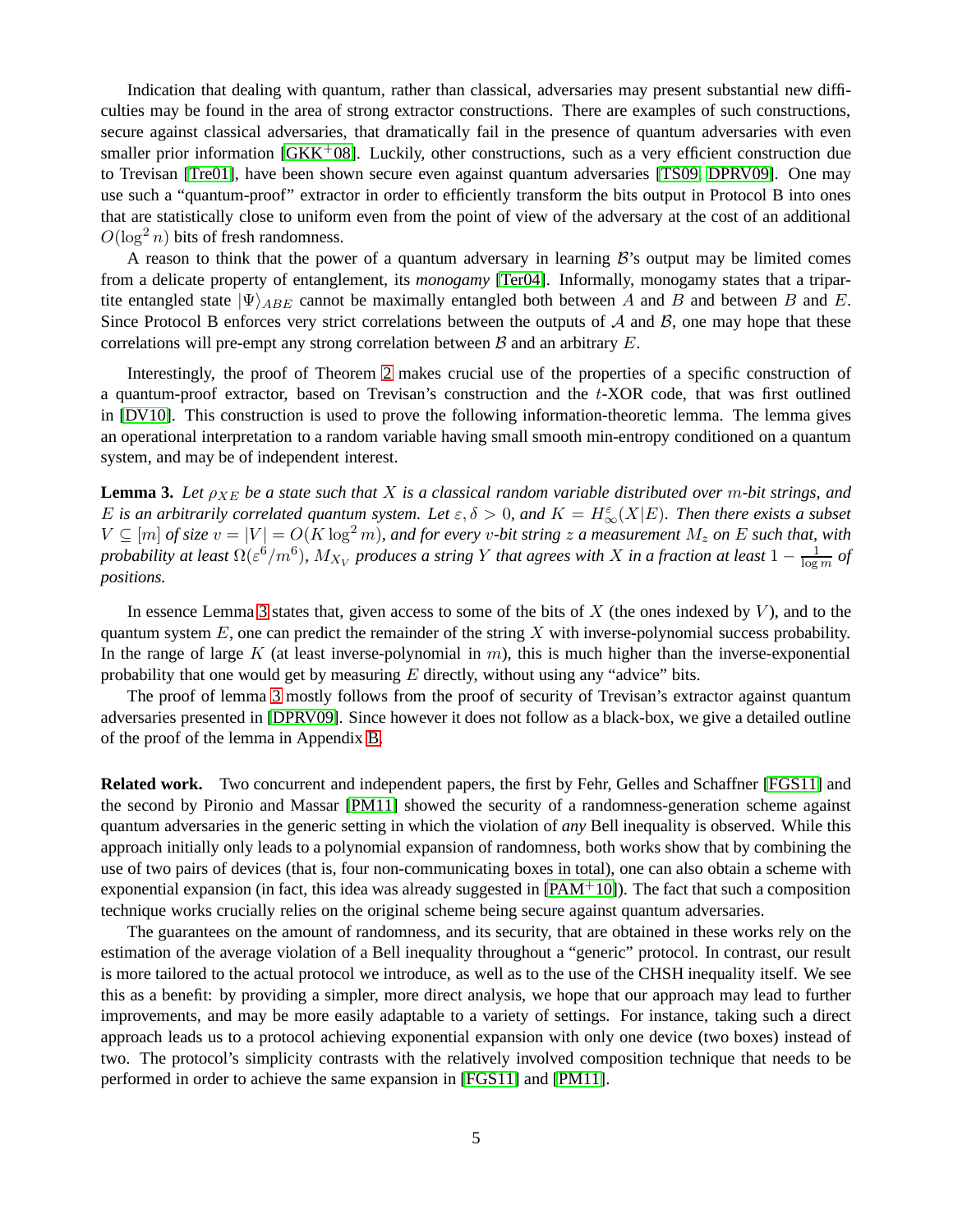Indication that dealing with quantum, rather than classical, adversaries may present substantial new difficulties may be found in the area of strong extractor constructions. There are examples of such constructions, secure against classical adversaries, that dramatically fail in the presence of quantum adversaries with even smaller prior information  $[GKK^+08]$  $[GKK^+08]$ . Luckily, other constructions, such as a very efficient construction due to Trevisan [\[Tre01\]](#page-15-4), have been shown secure even against quantum adversaries [\[TS09,](#page-15-5) [DPRV09\]](#page-14-4). One may use such a "quantum-proof" extractor in order to efficiently transform the bits output in Protocol B into ones that are statistically close to uniform even from the point of view of the adversary at the cost of an additional  $O(\log^2 n)$  bits of fresh randomness.

A reason to think that the power of a quantum adversary in learning  $\mathcal{B}$ 's output may be limited comes from a delicate property of entanglement, its *monogamy* [\[Ter04\]](#page-15-6). Informally, monogamy states that a tripartite entangled state  $|\Psi\rangle_{ABE}$  cannot be maximally entangled both between A and B and between B and E. Since Protocol B enforces very strict correlations between the outputs of  $A$  and  $B$ , one may hope that these correlations will pre-empt any strong correlation between  $\beta$  and an arbitrary  $E$ .

Interestingly, the proof of Theorem [2](#page-3-0) makes crucial use of the properties of a specific construction of a quantum-proof extractor, based on Trevisan's construction and the  $t$ -XOR code, that was first outlined in [\[DV10\]](#page-14-5). This construction is used to prove the following information-theoretic lemma. The lemma gives an operational interpretation to a random variable having small smooth min-entropy conditioned on a quantum system, and may be of independent interest.

<span id="page-4-0"></span>**Lemma 3.** *Let* ρXE *be a state such that* X *is a classical random variable distributed over* m*-bit strings, and* E is an arbitrarily correlated quantum system. Let  $\varepsilon, \delta > 0$ , and  $K = H_{\infty}^{\varepsilon}(X|E)$ . Then there exists a subset  $V \subseteq [m]$  *of size*  $v = |V| = O(K \log^2 m)$ , and for every *v*-bit string z a measurement  $M_z$  on E such that, with *probability at least*  $\Omega(\varepsilon^6/m^6)$ ,  $M_{X_V}$  *produces a string Y that agrees with X in a fraction at least*  $1-\frac{1}{\log m}$  *of positions.*

In essence Lemma [3](#page-4-0) states that, given access to some of the bits of X (the ones indexed by  $V$ ), and to the quantum system  $E$ , one can predict the remainder of the string  $X$  with inverse-polynomial success probability. In the range of large K (at least inverse-polynomial in  $m$ ), this is much higher than the inverse-exponential probability that one would get by measuring  $E$  directly, without using any "advice" bits.

The proof of lemma [3](#page-4-0) mostly follows from the proof of security of Trevisan's extractor against quantum adversaries presented in [\[DPRV09\]](#page-14-4). Since however it does not follow as a black-box, we give a detailed outline of the proof of the lemma in Appendix [B.](#page-17-0)

**Related work.** Two concurrent and independent papers, the first by Fehr, Gelles and Schaffner [\[FGS11\]](#page-14-6) and the second by Pironio and Massar [\[PM11\]](#page-15-7) showed the security of a randomness-generation scheme against quantum adversaries in the generic setting in which the violation of *any* Bell inequality is observed. While this approach initially only leads to a polynomial expansion of randomness, both works show that by combining the use of two pairs of devices (that is, four non-communicating boxes in total), one can also obtain a scheme with exponential expansion (in fact, this idea was already suggested in  $[PAM<sup>+</sup>10]$ ). The fact that such a composition technique works crucially relies on the original scheme being secure against quantum adversaries.

The guarantees on the amount of randomness, and its security, that are obtained in these works rely on the estimation of the average violation of a Bell inequality throughout a "generic" protocol. In contrast, our result is more tailored to the actual protocol we introduce, as well as to the use of the CHSH inequality itself. We see this as a benefit: by providing a simpler, more direct analysis, we hope that our approach may lead to further improvements, and may be more easily adaptable to a variety of settings. For instance, taking such a direct approach leads us to a protocol achieving exponential expansion with only one device (two boxes) instead of two. The protocol's simplicity contrasts with the relatively involved composition technique that needs to be performed in order to achieve the same expansion in [\[FGS11\]](#page-14-6) and [\[PM11\]](#page-15-7).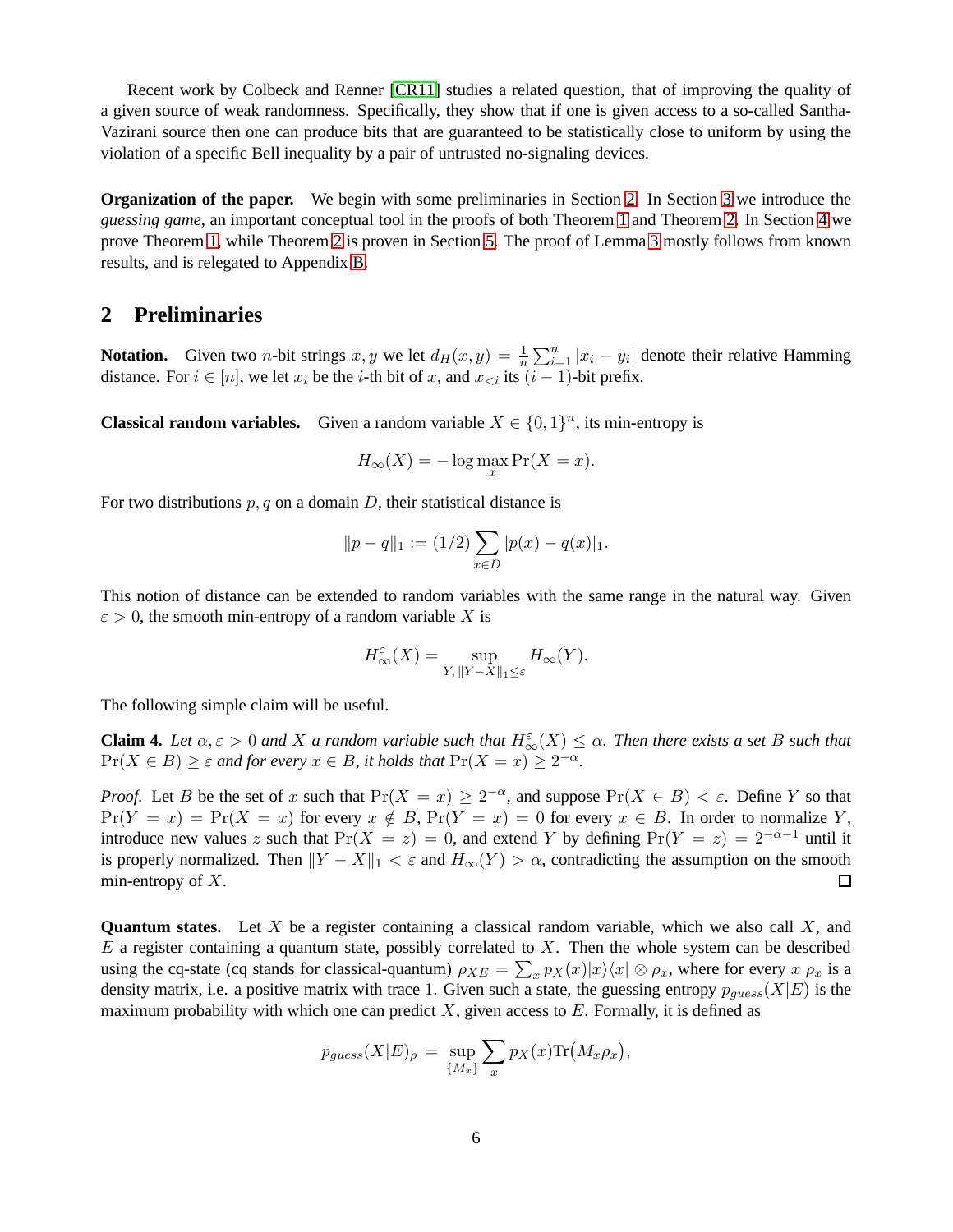Recent work by Colbeck and Renner [\[CR11\]](#page-14-7) studies a related question, that of improving the quality of a given source of weak randomness. Specifically, they show that if one is given access to a so-called Santha-Vazirani source then one can produce bits that are guaranteed to be statistically close to uniform by using the violation of a specific Bell inequality by a pair of untrusted no-signaling devices.

**Organization of the paper.** We begin with some preliminaries in Section [2.](#page-5-0) In Section [3](#page-6-0) we introduce the *guessing game*, an important conceptual tool in the proofs of both Theorem [1](#page-1-3) and Theorem [2.](#page-3-0) In Section [4](#page-8-0) we prove Theorem [1,](#page-1-3) while Theorem [2](#page-3-0) is proven in Section [5.](#page-9-0) The proof of Lemma [3](#page-4-0) mostly follows from known results, and is relegated to Appendix [B.](#page-17-0)

# <span id="page-5-0"></span>**2 Preliminaries**

**Notation.** Given two *n*-bit strings x, y we let  $d_H(x, y) = \frac{1}{n} \sum_{i=1}^n |x_i - y_i|$  denote their relative Hamming distance. For  $i \in [n]$ , we let  $x_i$  be the *i*-th bit of x, and  $x_{\le i}$  its  $(i - 1)$ -bit prefix.

**Classical random variables.** Given a random variable  $X \in \{0, 1\}^n$ , its min-entropy is

$$
H_{\infty}(X) = -\log \max_{x} \Pr(X = x).
$$

For two distributions  $p, q$  on a domain  $D$ , their statistical distance is

$$
||p - q||_1 := (1/2) \sum_{x \in D} |p(x) - q(x)|_1.
$$

This notion of distance can be extended to random variables with the same range in the natural way. Given  $\epsilon > 0$ , the smooth min-entropy of a random variable X is

$$
H_{\infty}^{\varepsilon}(X)=\sup_{Y,\, \|Y-X\|_1\leq \varepsilon}H_{\infty}(Y).
$$

The following simple claim will be useful.

<span id="page-5-1"></span>**Claim 4.** *Let*  $\alpha, \varepsilon > 0$  *and* X *a random variable such that*  $H_{\infty}^{\varepsilon}(X) \leq \alpha$ . Then there exists a set B such that  $Pr(X \in B) \geq \varepsilon$  and for every  $x \in B$ , it holds that  $Pr(X = x) \geq 2^{-\alpha}$ .

*Proof.* Let B be the set of x such that  $Pr(X = x) \ge 2^{-\alpha}$ , and suppose  $Pr(X \in B) < \varepsilon$ . Define Y so that  $Pr(Y = x) = Pr(X = x)$  for every  $x \notin B$ ,  $Pr(Y = x) = 0$  for every  $x \in B$ . In order to normalize Y, introduce new values z such that  $Pr(X = z) = 0$ , and extend Y by defining  $Pr(Y = z) = 2^{-\alpha-1}$  until it is properly normalized. Then  $||Y - X||_1 < \varepsilon$  and  $H_{\infty}(Y) > \alpha$ , contradicting the assumption on the smooth min-entropy of X. min-entropy of  $X$ .

**Quantum states.** Let X be a register containing a classical random variable, which we also call X, and  $E$  a register containing a quantum state, possibly correlated to  $X$ . Then the whole system can be described using the cq-state (cq stands for classical-quantum)  $\rho_{XE} = \sum_x p_X(x)|x\rangle\langle x| \otimes \rho_x$ , where for every  $x \rho_x$  is a density matrix, i.e. a positive matrix with trace 1. Given such a state, the guessing entropy  $p_{guess}(X|E)$  is the maximum probability with which one can predict  $X$ , given access to  $E$ . Formally, it is defined as

$$
p_{guess}(X|E)_{\rho} = \sup_{\{M_x\}} \sum_x p_X(x) \text{Tr}(M_x \rho_x),
$$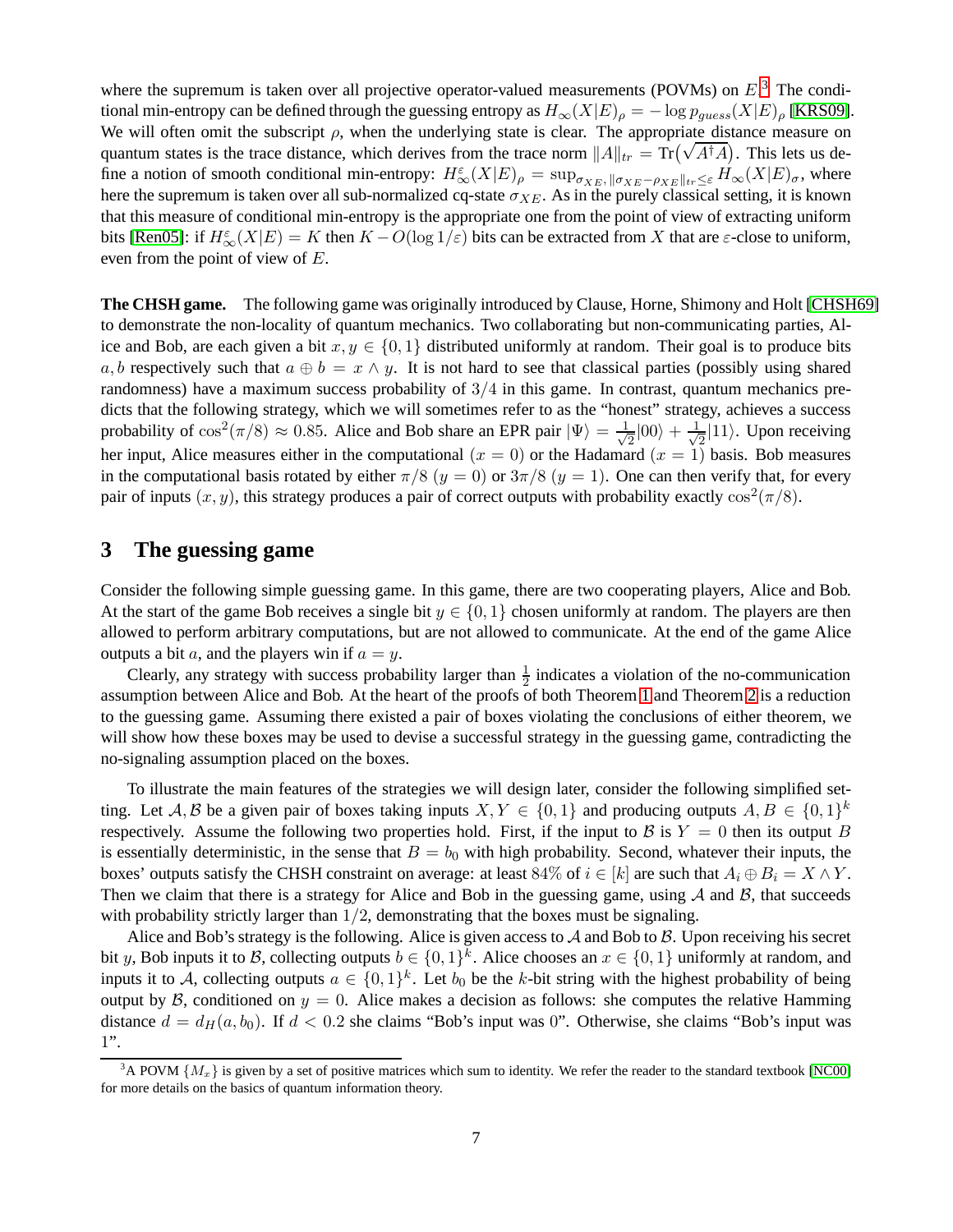where the supremum is taken over all projective operator-valued measurements (POVMs) on  $E<sup>3</sup>$  $E<sup>3</sup>$  $E<sup>3</sup>$ . The conditional min-entropy can be defined through the guessing entropy as  $H_{\infty}(X|E)_{\rho} = -\log p_{guess}(X|E)_{\rho}$  [\[KRS09\]](#page-14-8). We will often omit the subscript  $\rho$ , when the underlying state is clear. The appropriate distance measure on quantum states is the trace distance, which derives from the trace norm  $||A||_{tr} = Tr(\sqrt{A^{\dagger}A})$ . This lets us define a notion of smooth conditional min-entropy:  $H_{\infty}^{\varepsilon}(X|E)_{\rho} = \sup_{\sigma_{XE}} \log_{XE} |\sigma_{XE} - \rho_{XE}||_{tr} \leq \varepsilon H_{\infty}(X|E)_{\sigma}$ , where here the supremum is taken over all sub-normalized cq-state  $\sigma_{XE}$ . As in the purely classical setting, it is known that this measure of conditional min-entropy is the appropriate one from the point of view of extracting uniform bits [\[Ren05\]](#page-15-8): if  $H_{\infty}^{\varepsilon}(X|E) = K$  then  $K - O(\log 1/\varepsilon)$  bits can be extracted from X that are  $\varepsilon$ -close to uniform, even from the point of view of E.

**The CHSH game.** The following game was originally introduced by Clause, Horne, Shimony and Holt [\[CHSH69\]](#page-14-9) to demonstrate the non-locality of quantum mechanics. Two collaborating but non-communicating parties, Alice and Bob, are each given a bit  $x, y \in \{0, 1\}$  distributed uniformly at random. Their goal is to produce bits a, b respectively such that  $a \oplus b = x \wedge y$ . It is not hard to see that classical parties (possibly using shared randomness) have a maximum success probability of  $3/4$  in this game. In contrast, quantum mechanics predicts that the following strategy, which we will sometimes refer to as the "honest" strategy, achieves a success probability of  $\cos^2(\pi/8) \approx 0.85$ . Alice and Bob share an EPR pair  $|\Psi\rangle = \frac{1}{\sqrt{2}}$  $\frac{1}{2}|00\rangle + \frac{1}{\sqrt{2}}$  $\frac{1}{2}$ |11). Upon receiving her input, Alice measures either in the computational  $(x = 0)$  or the Hadamard  $(x = 1)$  basis. Bob measures in the computational basis rotated by either  $\pi/8$  ( $y = 0$ ) or  $3\pi/8$  ( $y = 1$ ). One can then verify that, for every pair of inputs  $(x, y)$ , this strategy produces a pair of correct outputs with probability exactly  $\cos^2(\pi/8)$ .

# <span id="page-6-0"></span>**3 The guessing game**

Consider the following simple guessing game. In this game, there are two cooperating players, Alice and Bob. At the start of the game Bob receives a single bit  $y \in \{0,1\}$  chosen uniformly at random. The players are then allowed to perform arbitrary computations, but are not allowed to communicate. At the end of the game Alice outputs a bit a, and the players win if  $a = y$ .

Clearly, any strategy with success probability larger than  $\frac{1}{2}$  indicates a violation of the no-communication assumption between Alice and Bob. At the heart of the proofs of both Theorem [1](#page-1-3) and Theorem [2](#page-3-0) is a reduction to the guessing game. Assuming there existed a pair of boxes violating the conclusions of either theorem, we will show how these boxes may be used to devise a successful strategy in the guessing game, contradicting the no-signaling assumption placed on the boxes.

To illustrate the main features of the strategies we will design later, consider the following simplified setting. Let A, B be a given pair of boxes taking inputs  $X, Y \in \{0, 1\}$  and producing outputs  $A, B \in \{0, 1\}^k$ respectively. Assume the following two properties hold. First, if the input to B is  $Y = 0$  then its output B is essentially deterministic, in the sense that  $B = b_0$  with high probability. Second, whatever their inputs, the boxes' outputs satisfy the CHSH constraint on average: at least 84% of  $i \in [k]$  are such that  $A_i \oplus B_i = X \wedge Y$ . Then we claim that there is a strategy for Alice and Bob in the guessing game, using  $A$  and  $B$ , that succeeds with probability strictly larger than  $1/2$ , demonstrating that the boxes must be signaling.

Alice and Bob's strategy is the following. Alice is given access to  $\mathcal A$  and Bob to  $\mathcal B$ . Upon receiving his secret bit y, Bob inputs it to B, collecting outputs  $b \in \{0,1\}^k$ . Alice chooses an  $x \in \{0,1\}$  uniformly at random, and inputs it to A, collecting outputs  $a \in \{0,1\}^k$ . Let  $b_0$  be the k-bit string with the highest probability of being output by B, conditioned on  $y = 0$ . Alice makes a decision as follows: she computes the relative Hamming distance  $d = d_H(a, b_0)$ . If  $d < 0.2$  she claims "Bob's input was 0". Otherwise, she claims "Bob's input was 1".

<span id="page-6-1"></span><sup>&</sup>lt;sup>3</sup>A POVM  ${M_x}$  is given by a set of positive matrices which sum to identity. We refer the reader to the standard textbook [\[NC00\]](#page-15-9) for more details on the basics of quantum information theory.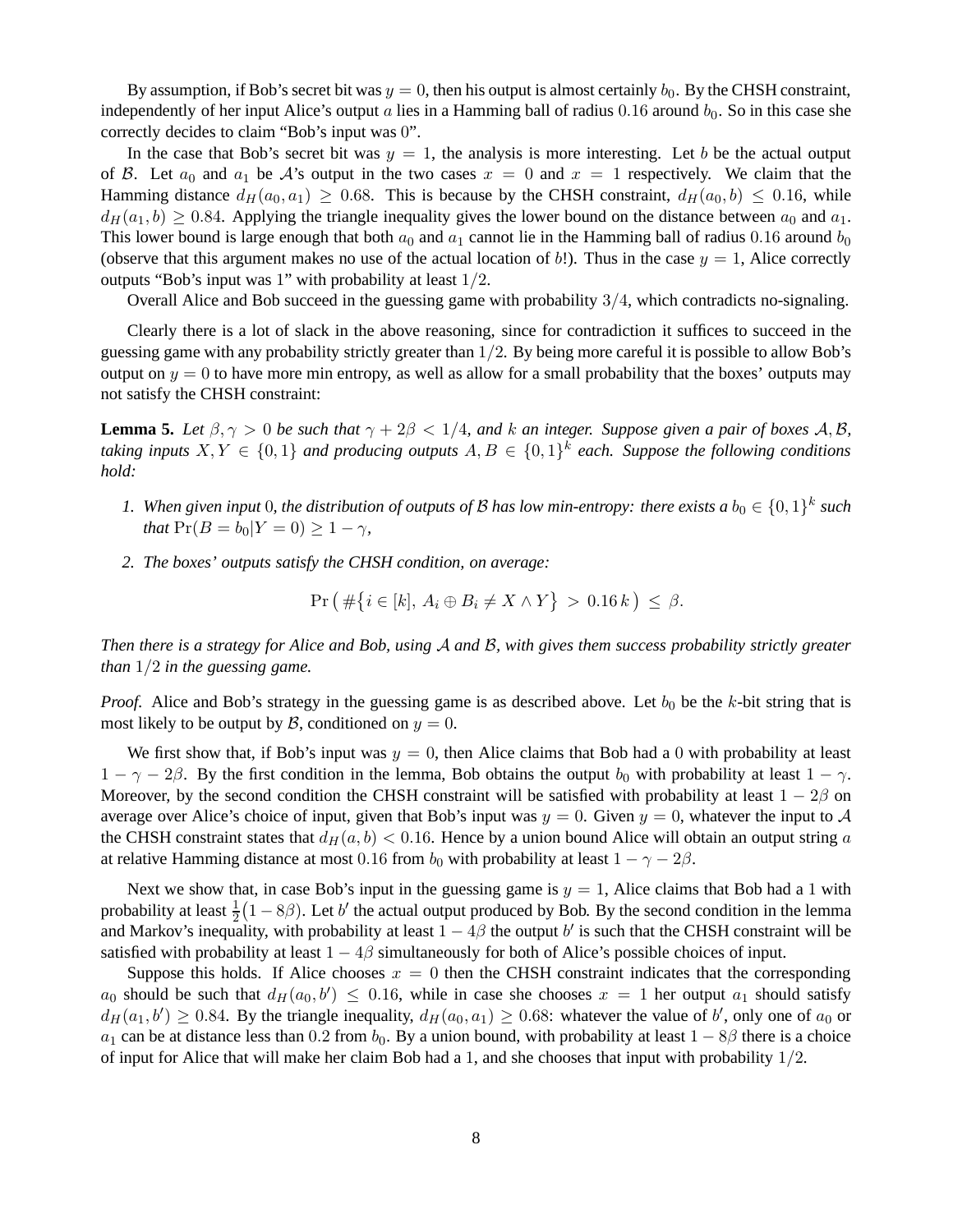By assumption, if Bob's secret bit was  $y = 0$ , then his output is almost certainly  $b_0$ . By the CHSH constraint, independently of her input Alice's output a lies in a Hamming ball of radius  $0.16$  around  $b<sub>0</sub>$ . So in this case she correctly decides to claim "Bob's input was 0".

In the case that Bob's secret bit was  $y = 1$ , the analysis is more interesting. Let b be the actual output of B. Let  $a_0$  and  $a_1$  be A's output in the two cases  $x = 0$  and  $x = 1$  respectively. We claim that the Hamming distance  $d_H(a_0, a_1) \geq 0.68$ . This is because by the CHSH constraint,  $d_H(a_0, b) \leq 0.16$ , while  $d_H(a_1, b) \geq 0.84$ . Applying the triangle inequality gives the lower bound on the distance between  $a_0$  and  $a_1$ . This lower bound is large enough that both  $a_0$  and  $a_1$  cannot lie in the Hamming ball of radius 0.16 around  $b_0$ (observe that this argument makes no use of the actual location of b!). Thus in the case  $y = 1$ , Alice correctly outputs "Bob's input was 1" with probability at least 1/2.

Overall Alice and Bob succeed in the guessing game with probability 3/4, which contradicts no-signaling.

Clearly there is a lot of slack in the above reasoning, since for contradiction it suffices to succeed in the guessing game with any probability strictly greater than  $1/2$ . By being more careful it is possible to allow Bob's output on  $y = 0$  to have more min entropy, as well as allow for a small probability that the boxes' outputs may not satisfy the CHSH constraint:

<span id="page-7-0"></span>**Lemma 5.** *Let*  $\beta, \gamma > 0$  *be such that*  $\gamma + 2\beta < 1/4$ *, and k an integer. Suppose given a pair of boxes* A, B, *taking inputs*  $X, Y \in \{0, 1\}$  *and producing outputs*  $A, B \in \{0, 1\}^k$  *each. Suppose the following conditions hold:*

- *1.* When given input 0, the distribution of outputs of B has low min-entropy: there exists a  $b_0 \in \{0,1\}^k$  such *that*  $Pr(B = b_0 | Y = 0) \ge 1 - \gamma$ *,*
- *2. The boxes' outputs satisfy the CHSH condition, on average:*

$$
\Pr\left(\#\big\{i\in[k],\,A_i\oplus B_i\neq X\wedge Y\big\}\,>\,0.16\,k\,\right)\,\leq\,\beta.
$$

*Then there is a strategy for Alice and Bob, using* A *and* B*, with gives them success probability strictly greater than* 1/2 *in the guessing game.*

*Proof.* Alice and Bob's strategy in the guessing game is as described above. Let  $b_0$  be the  $k$ -bit string that is most likely to be output by B, conditioned on  $y = 0$ .

We first show that, if Bob's input was  $y = 0$ , then Alice claims that Bob had a 0 with probability at least  $1 - \gamma - 2\beta$ . By the first condition in the lemma, Bob obtains the output  $b_0$  with probability at least  $1 - \gamma$ . Moreover, by the second condition the CHSH constraint will be satisfied with probability at least  $1 - 2\beta$  on average over Alice's choice of input, given that Bob's input was  $y = 0$ . Given  $y = 0$ , whatever the input to A the CHSH constraint states that  $d_H(a, b) < 0.16$ . Hence by a union bound Alice will obtain an output string a at relative Hamming distance at most 0.16 from  $b_0$  with probability at least  $1 - \gamma - 2\beta$ .

Next we show that, in case Bob's input in the guessing game is  $y = 1$ , Alice claims that Bob had a 1 with probability at least  $\frac{1}{2}(1-8\beta)$ . Let b' the actual output produced by Bob. By the second condition in the lemma and Markov's inequality, with probability at least  $1 - 4\beta$  the output  $b'$  is such that the CHSH constraint will be satisfied with probability at least  $1 - 4\beta$  simultaneously for both of Alice's possible choices of input.

Suppose this holds. If Alice chooses  $x = 0$  then the CHSH constraint indicates that the corresponding  $a_0$  should be such that  $d_H(a_0, b') \leq 0.16$ , while in case she chooses  $x = 1$  her output  $a_1$  should satisfy  $d_H(a_1, b') \ge 0.84$ . By the triangle inequality,  $d_H(a_0, a_1) \ge 0.68$ : whatever the value of b', only one of  $a_0$  or  $a_1$  can be at distance less than 0.2 from  $b_0$ . By a union bound, with probability at least  $1 - 8\beta$  there is a choice of input for Alice that will make her claim Bob had a 1, and she chooses that input with probability  $1/2$ .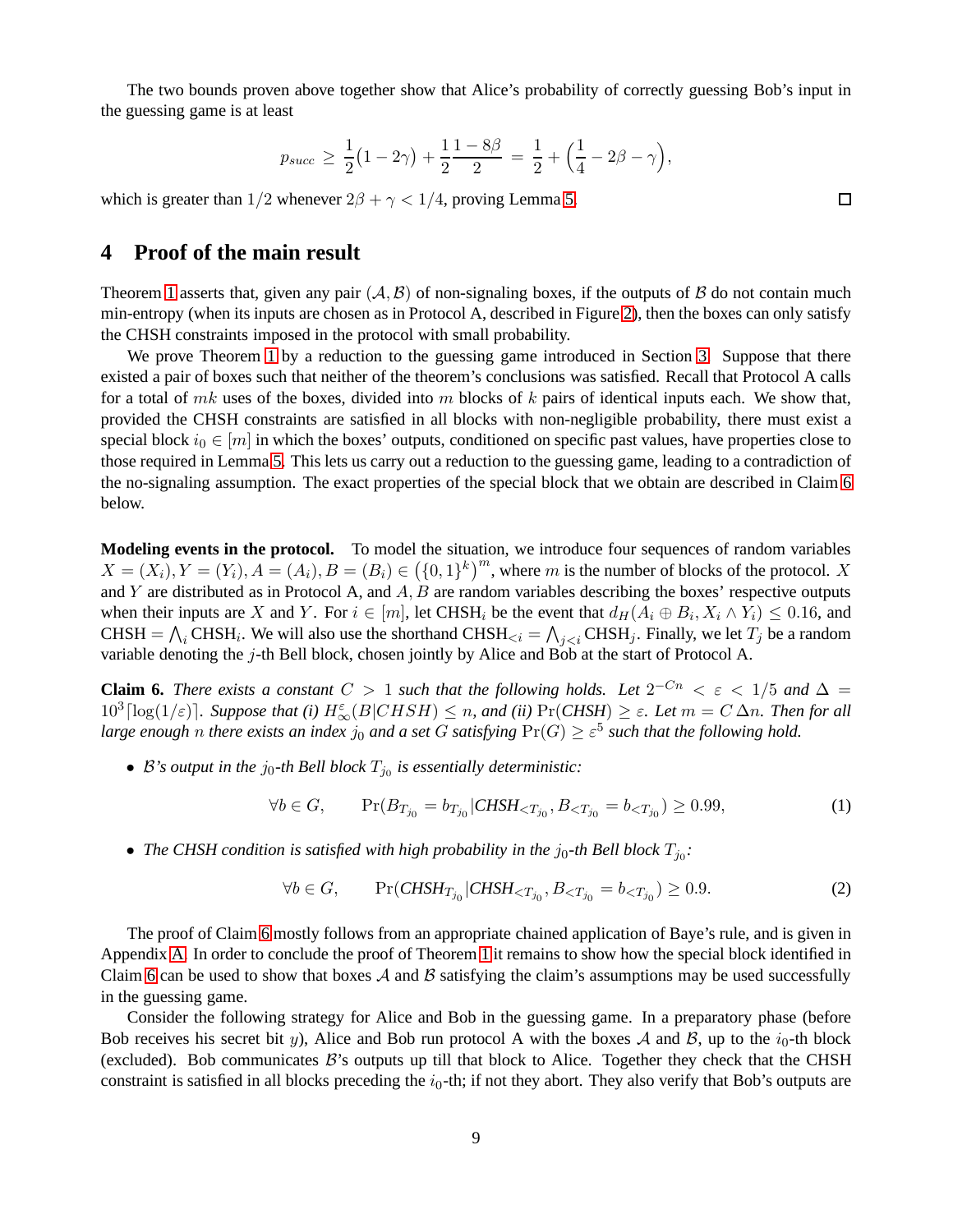The two bounds proven above together show that Alice's probability of correctly guessing Bob's input in the guessing game is at least

$$
p_{succ} \ge \frac{1}{2}(1-2\gamma) + \frac{1}{2}\frac{1-8\beta}{2} = \frac{1}{2} + (\frac{1}{4} - 2\beta - \gamma),
$$

<span id="page-8-0"></span>which is greater than  $1/2$  whenever  $2\beta + \gamma < 1/4$ , proving Lemma [5.](#page-7-0)

# **4 Proof of the main result**

Theorem [1](#page-1-3) asserts that, given any pair  $(A, B)$  of non-signaling boxes, if the outputs of B do not contain much min-entropy (when its inputs are chosen as in Protocol A, described in Figure [2\)](#page-2-0), then the boxes can only satisfy the CHSH constraints imposed in the protocol with small probability.

We prove Theorem [1](#page-1-3) by a reduction to the guessing game introduced in Section [3.](#page-6-0) Suppose that there existed a pair of boxes such that neither of the theorem's conclusions was satisfied. Recall that Protocol A calls for a total of mk uses of the boxes, divided into m blocks of k pairs of identical inputs each. We show that, provided the CHSH constraints are satisfied in all blocks with non-negligible probability, there must exist a special block  $i_0 \in [m]$  in which the boxes' outputs, conditioned on specific past values, have properties close to those required in Lemma [5.](#page-7-0) This lets us carry out a reduction to the guessing game, leading to a contradiction of the no-signaling assumption. The exact properties of the special block that we obtain are described in Claim [6](#page-8-1) below.

**Modeling events in the protocol.** To model the situation, we introduce four sequences of random variables  $X = (X_i), Y = (Y_i), A = (A_i), B = (B_i) \in (\{0,1\}^k)^m$ , where m is the number of blocks of the protocol. X and Y are distributed as in Protocol A, and  $A, B$  are random variables describing the boxes' respective outputs when their inputs are X and Y. For  $i \in [m]$ , let CHSH<sub>i</sub> be the event that  $d_H(A_i \oplus B_i, X_i \wedge Y_i) \leq 0.16$ , and CHSH =  $\bigwedge_i$  CHSH<sub>i</sub>. We will also use the shorthand CHSH<sub> $\lt i$ </sub> =  $\bigwedge_{j\lt i}$  CHSH<sub>j</sub>. Finally, we let  $T_j$  be a random variable denoting the  $j$ -th Bell block, chosen jointly by Alice and Bob at the start of Protocol A.

<span id="page-8-1"></span>**Claim 6.** *There exists a constant*  $C > 1$  *such that the following holds. Let*  $2^{-Cn} < \varepsilon < 1/5$  *and*  $\Delta =$  $10^3 \lceil \log(1/\varepsilon) \rceil$ *. Suppose that (i)*  $H_{\infty}^{\varepsilon}(B|CHSH) \le n$ *, and (ii)*  $\Pr(CHSH) \ge \varepsilon$ *. Let*  $m = C \Delta n$ *. Then for all large enough n there exists an index*  $j_0$  *and a set* G *satisfying*  $Pr(G) \geq \varepsilon^5$  *such that the following hold.* 

 $\bullet$  *B*'s output in the  $j_0$ -th Bell block  $T_{j_0}$  is essentially deterministic:

$$
\forall b \in G, \qquad \Pr(B_{T_{j_0}} = b_{T_{j_0}} | \text{CHSH}_{\leq T_{j_0}}, B_{\leq T_{j_0}} = b_{\leq T_{j_0}}) \geq 0.99,\tag{1}
$$

• The CHSH condition is satisfied with high probability in the  $j_0$ -th Bell block  $T_{j_0}$ :

$$
\forall b \in G, \qquad \Pr(\text{CHSH}_{T_{j_0}}|\text{CHSH}_{
$$

The proof of Claim [6](#page-8-1) mostly follows from an appropriate chained application of Baye's rule, and is given in Appendix [A.](#page-15-10) In order to conclude the proof of Theorem [1](#page-1-3) it remains to show how the special block identified in Claim [6](#page-8-1) can be used to show that boxes A and B satisfying the claim's assumptions may be used successfully in the guessing game.

Consider the following strategy for Alice and Bob in the guessing game. In a preparatory phase (before Bob receives his secret bit y), Alice and Bob run protocol A with the boxes A and B, up to the  $i_0$ -th block (excluded). Bob communicates  $B$ 's outputs up till that block to Alice. Together they check that the CHSH constraint is satisfied in all blocks preceding the  $i_0$ -th; if not they abort. They also verify that Bob's outputs are

 $\Box$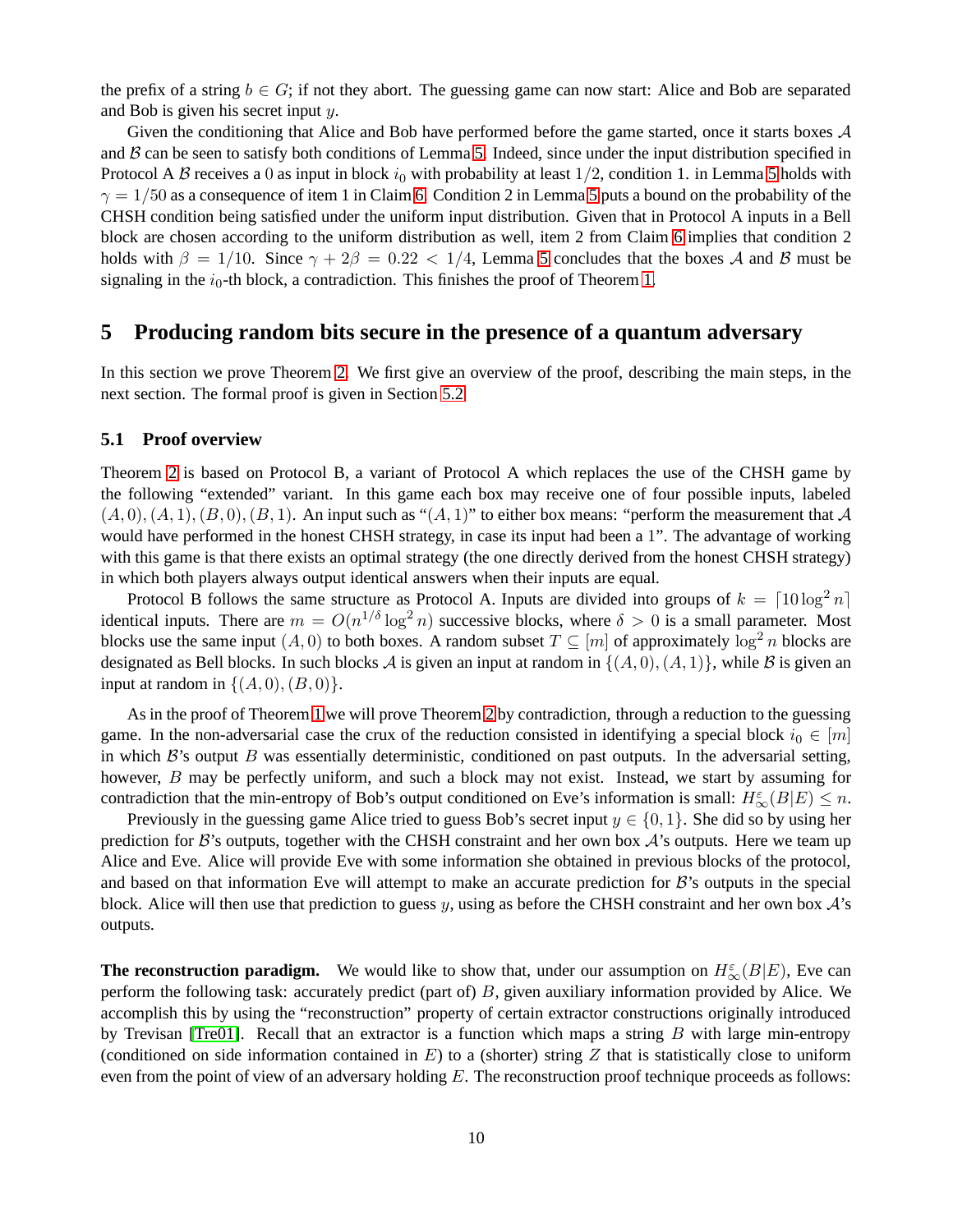the prefix of a string  $b \in G$ ; if not they abort. The guessing game can now start: Alice and Bob are separated and Bob is given his secret input y.

Given the conditioning that Alice and Bob have performed before the game started, once it starts boxes  $A$ and  $\beta$  can be seen to satisfy both conditions of Lemma [5.](#page-7-0) Indeed, since under the input distribution specified in Protocol A B receives a 0 as input in block  $i_0$  with probability at least 1/2, condition 1. in Lemma [5](#page-7-0) holds with  $\gamma = 1/50$  as a consequence of item 1 in Claim [6.](#page-8-1) Condition 2 in Lemma [5](#page-7-0) puts a bound on the probability of the CHSH condition being satisfied under the uniform input distribution. Given that in Protocol A inputs in a Bell block are chosen according to the uniform distribution as well, item 2 from Claim [6](#page-8-1) implies that condition 2 holds with  $\beta = 1/10$ . Since  $\gamma + 2\beta = 0.22 < 1/4$ , Lemma [5](#page-7-0) concludes that the boxes A and B must be signaling in the  $i_0$ -th block, a contradiction. This finishes the proof of Theorem [1.](#page-1-3)

# <span id="page-9-0"></span>**5 Producing random bits secure in the presence of a quantum adversary**

In this section we prove Theorem [2.](#page-3-0) We first give an overview of the proof, describing the main steps, in the next section. The formal proof is given in Section [5.2](#page-11-0)

#### **5.1 Proof overview**

Theorem [2](#page-3-0) is based on Protocol B, a variant of Protocol A which replaces the use of the CHSH game by the following "extended" variant. In this game each box may receive one of four possible inputs, labeled  $(A, 0), (A, 1), (B, 0), (B, 1)$ . An input such as " $(A, 1)$ " to either box means: "perform the measurement that A would have performed in the honest CHSH strategy, in case its input had been a 1". The advantage of working with this game is that there exists an optimal strategy (the one directly derived from the honest CHSH strategy) in which both players always output identical answers when their inputs are equal.

Protocol B follows the same structure as Protocol A. Inputs are divided into groups of  $k = \lceil 10 \log^2 n \rceil$ identical inputs. There are  $m = O(n^{1/\delta} \log^2 n)$  successive blocks, where  $\delta > 0$  is a small parameter. Most blocks use the same input  $(A, 0)$  to both boxes. A random subset  $T \subseteq [m]$  of approximately  $\log^2 n$  blocks are designated as Bell blocks. In such blocks A is given an input at random in  $\{(A, 0), (A, 1)\}\$ , while B is given an input at random in  $\{(A, 0), (B, 0)\}.$ 

As in the proof of Theorem [1](#page-1-3) we will prove Theorem [2](#page-3-0) by contradiction, through a reduction to the guessing game. In the non-adversarial case the crux of the reduction consisted in identifying a special block  $i_0 \in [m]$ in which  $\mathcal{B}'$ 's output B was essentially deterministic, conditioned on past outputs. In the adversarial setting, however, B may be perfectly uniform, and such a block may not exist. Instead, we start by assuming for contradiction that the min-entropy of Bob's output conditioned on Eve's information is small:  $H_{\infty}^{\varepsilon}(B|E) \leq n$ .

Previously in the guessing game Alice tried to guess Bob's secret input  $y \in \{0, 1\}$ . She did so by using her prediction for  $\mathcal{B}$ 's outputs, together with the CHSH constraint and her own box  $\mathcal{A}$ 's outputs. Here we team up Alice and Eve. Alice will provide Eve with some information she obtained in previous blocks of the protocol, and based on that information Eve will attempt to make an accurate prediction for  $\mathcal{B}'$ 's outputs in the special block. Alice will then use that prediction to guess y, using as before the CHSH constraint and her own box  $\mathcal{A}$ 's outputs.

**The reconstruction paradigm.** We would like to show that, under our assumption on  $H_{\infty}^{\varepsilon}(B|E)$ , Eve can perform the following task: accurately predict (part of) B, given auxiliary information provided by Alice. We accomplish this by using the "reconstruction" property of certain extractor constructions originally introduced by Trevisan [\[Tre01\]](#page-15-4). Recall that an extractor is a function which maps a string  $B$  with large min-entropy (conditioned on side information contained in  $E$ ) to a (shorter) string Z that is statistically close to uniform even from the point of view of an adversary holding  $E$ . The reconstruction proof technique proceeds as follows: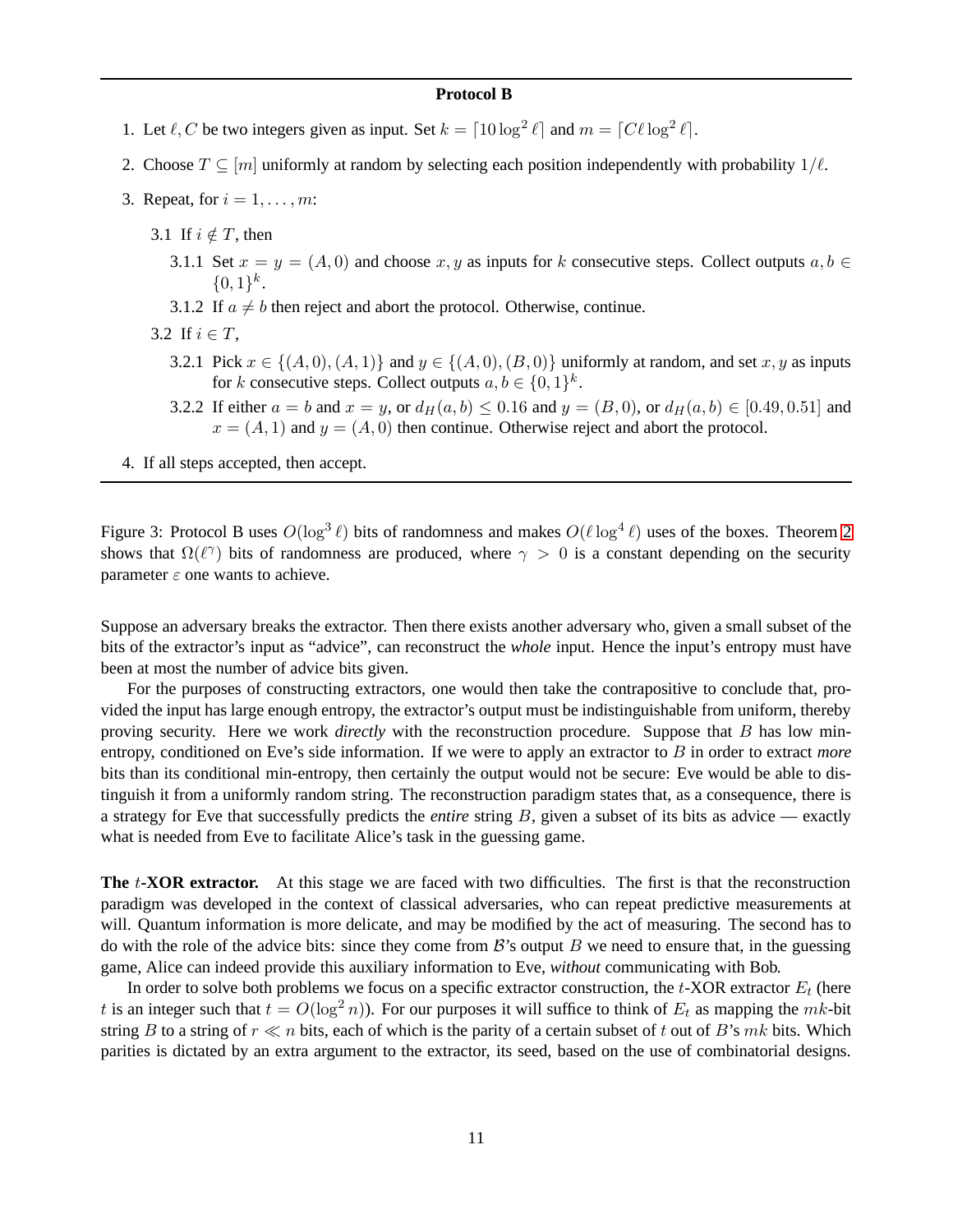#### **Protocol B**

- 1. Let  $\ell$ , C be two integers given as input. Set  $k = \lceil 10 \log^2 \ell \rceil$  and  $m = \lceil C\ell \log^2 \ell \rceil$ .
- 2. Choose  $T \subseteq [m]$  uniformly at random by selecting each position independently with probability  $1/\ell$ .
- 3. Repeat, for  $i = 1, \ldots, m$ :
	- 3.1 If  $i \notin T$ , then
		- 3.1.1 Set  $x = y = (A, 0)$  and choose x, y as inputs for k consecutive steps. Collect outputs  $a, b \in$  $\{0,1\}^k$ .
		- 3.1.2 If  $a \neq b$  then reject and abort the protocol. Otherwise, continue.
	- 3.2 If  $i \in T$ ,
		- 3.2.1 Pick  $x \in \{(A, 0), (A, 1)\}\$  and  $y \in \{(A, 0), (B, 0)\}\$  uniformly at random, and set  $x, y$  as inputs for k consecutive steps. Collect outputs  $a, b \in \{0, 1\}^k$ .
		- 3.2.2 If either  $a = b$  and  $x = y$ , or  $d_H(a, b) \le 0.16$  and  $y = (B, 0)$ , or  $d_H(a, b) \in [0.49, 0.51]$  and  $x = (A, 1)$  and  $y = (A, 0)$  then continue. Otherwise reject and abort the protocol.
- 4. If all steps accepted, then accept.

<span id="page-10-0"></span>Figure 3: Protocol B uses  $O(\log^3 \ell)$  bits of randomness and makes  $O(\ell \log^4 \ell)$  uses of the boxes. Theorem [2](#page-3-0) shows that  $\Omega(\ell^{\gamma})$  bits of randomness are produced, where  $\gamma > 0$  is a constant depending on the security parameter  $\varepsilon$  one wants to achieve.

Suppose an adversary breaks the extractor. Then there exists another adversary who, given a small subset of the bits of the extractor's input as "advice", can reconstruct the *whole* input. Hence the input's entropy must have been at most the number of advice bits given.

For the purposes of constructing extractors, one would then take the contrapositive to conclude that, provided the input has large enough entropy, the extractor's output must be indistinguishable from uniform, thereby proving security. Here we work *directly* with the reconstruction procedure. Suppose that B has low minentropy, conditioned on Eve's side information. If we were to apply an extractor to B in order to extract *more* bits than its conditional min-entropy, then certainly the output would not be secure: Eve would be able to distinguish it from a uniformly random string. The reconstruction paradigm states that, as a consequence, there is a strategy for Eve that successfully predicts the *entire* string B, given a subset of its bits as advice — exactly what is needed from Eve to facilitate Alice's task in the guessing game.

**The** t**-XOR extractor.** At this stage we are faced with two difficulties. The first is that the reconstruction paradigm was developed in the context of classical adversaries, who can repeat predictive measurements at will. Quantum information is more delicate, and may be modified by the act of measuring. The second has to do with the role of the advice bits: since they come from  $\mathcal{B}$ 's output B we need to ensure that, in the guessing game, Alice can indeed provide this auxiliary information to Eve, *without* communicating with Bob.

In order to solve both problems we focus on a specific extractor construction, the  $t$ -XOR extractor  $E_t$  (here t is an integer such that  $t = O(\log^2 n)$ . For our purposes it will suffice to think of  $E_t$  as mapping the mk-bit string B to a string of  $r \ll n$  bits, each of which is the parity of a certain subset of t out of B's mk bits. Which parities is dictated by an extra argument to the extractor, its seed, based on the use of combinatorial designs.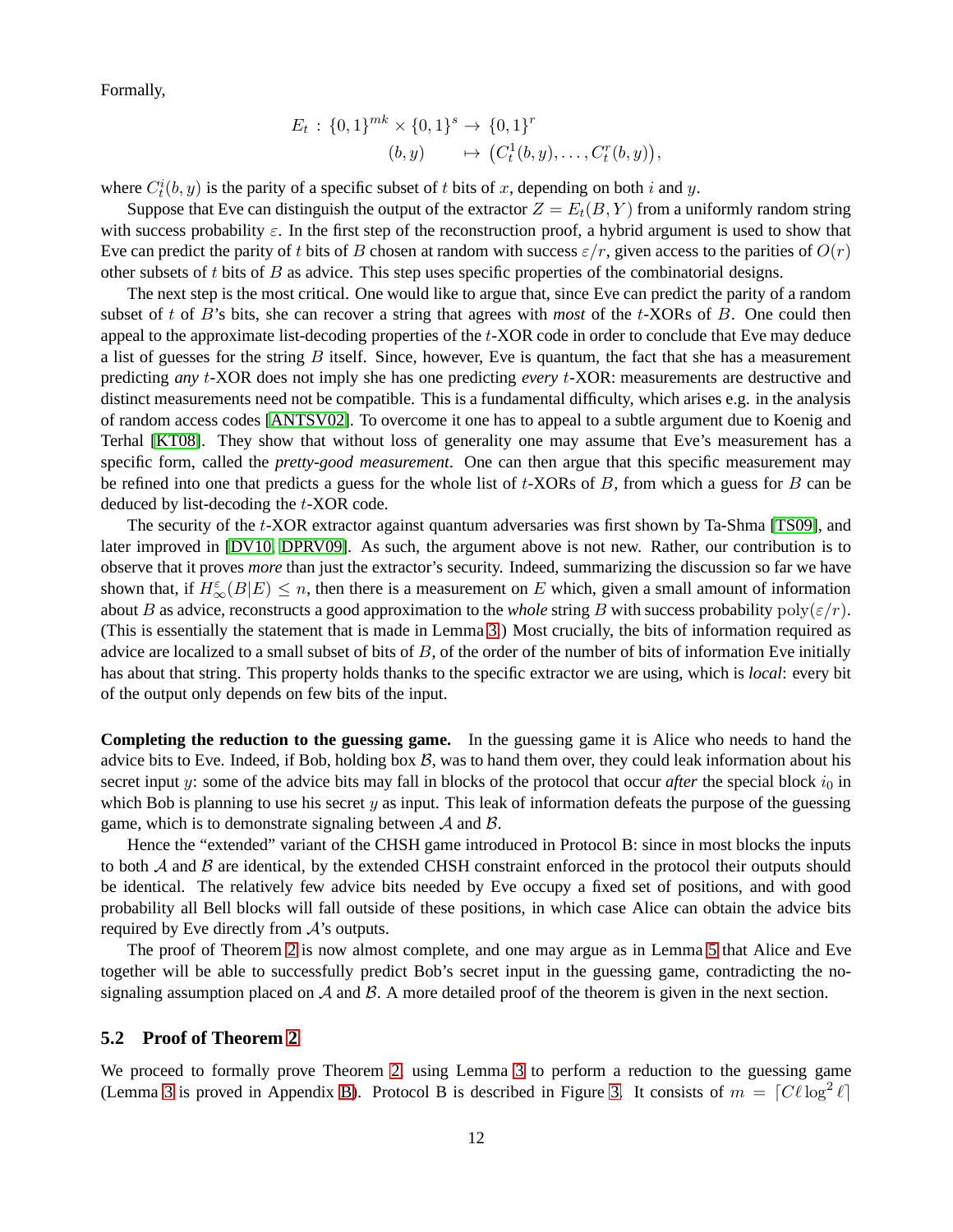Formally,

$$
E_t: \{0,1\}^{mk} \times \{0,1\}^s \to \{0,1\}^r
$$
  
(b, y)  $\mapsto (C_t^1(b, y), \dots, C_t^r(b, y)),$ 

where  $C_t^i(b, y)$  is the parity of a specific subset of t bits of x, depending on both i and y.

Suppose that Eve can distinguish the output of the extractor  $Z = E_t(B, Y)$  from a uniformly random string with success probability  $\varepsilon$ . In the first step of the reconstruction proof, a hybrid argument is used to show that Eve can predict the parity of t bits of B chosen at random with success  $\varepsilon/r$ , given access to the parities of  $O(r)$ other subsets of  $t$  bits of  $B$  as advice. This step uses specific properties of the combinatorial designs.

The next step is the most critical. One would like to argue that, since Eve can predict the parity of a random subset of t of B's bits, she can recover a string that agrees with *most* of the t-XORs of B. One could then appeal to the approximate list-decoding properties of the  $t$ -XOR code in order to conclude that Eve may deduce a list of guesses for the string  $B$  itself. Since, however, Eve is quantum, the fact that she has a measurement predicting *any* t-XOR does not imply she has one predicting *every* t-XOR: measurements are destructive and distinct measurements need not be compatible. This is a fundamental difficulty, which arises e.g. in the analysis of random access codes [\[ANTSV02\]](#page-14-10). To overcome it one has to appeal to a subtle argument due to Koenig and Terhal [\[KT08\]](#page-14-11). They show that without loss of generality one may assume that Eve's measurement has a specific form, called the *pretty-good measurement*. One can then argue that this specific measurement may be refined into one that predicts a guess for the whole list of  $t$ -XORs of  $B$ , from which a guess for  $B$  can be deduced by list-decoding the t-XOR code.

The security of the t-XOR extractor against quantum adversaries was first shown by Ta-Shma [\[TS09\]](#page-15-5), and later improved in [\[DV10,](#page-14-5) [DPRV09\]](#page-14-4). As such, the argument above is not new. Rather, our contribution is to observe that it proves *more* than just the extractor's security. Indeed, summarizing the discussion so far we have shown that, if  $H_{\infty}^{\varepsilon}(B|E) \leq n$ , then there is a measurement on E which, given a small amount of information about B as advice, reconstructs a good approximation to the *whole* string B with success probability  $poly(\varepsilon/r)$ . (This is essentially the statement that is made in Lemma [3.](#page-4-0)) Most crucially, the bits of information required as advice are localized to a small subset of bits of  $B$ , of the order of the number of bits of information Eve initially has about that string. This property holds thanks to the specific extractor we are using, which is *local*: every bit of the output only depends on few bits of the input.

**Completing the reduction to the guessing game.** In the guessing game it is Alice who needs to hand the advice bits to Eve. Indeed, if Bob, holding box  $B$ , was to hand them over, they could leak information about his secret input y: some of the advice bits may fall in blocks of the protocol that occur *after* the special block  $i_0$  in which Bob is planning to use his secret  $y$  as input. This leak of information defeats the purpose of the guessing game, which is to demonstrate signaling between  $A$  and  $B$ .

Hence the "extended" variant of the CHSH game introduced in Protocol B: since in most blocks the inputs to both  $A$  and  $B$  are identical, by the extended CHSH constraint enforced in the protocol their outputs should be identical. The relatively few advice bits needed by Eve occupy a fixed set of positions, and with good probability all Bell blocks will fall outside of these positions, in which case Alice can obtain the advice bits required by Eve directly from A's outputs.

The proof of Theorem [2](#page-3-0) is now almost complete, and one may argue as in Lemma [5](#page-7-0) that Alice and Eve together will be able to successfully predict Bob's secret input in the guessing game, contradicting the nosignaling assumption placed on  $A$  and  $B$ . A more detailed proof of the theorem is given in the next section.

#### <span id="page-11-0"></span>**5.2 Proof of Theorem [2](#page-3-0)**

We proceed to formally prove Theorem [2,](#page-3-0) using Lemma [3](#page-4-0) to perform a reduction to the guessing game (Lemma [3](#page-4-0) is proved in Appendix [B\)](#page-17-0). Protocol B is described in Figure [3.](#page-10-0) It consists of  $m = [C\ell \log^2 \ell]$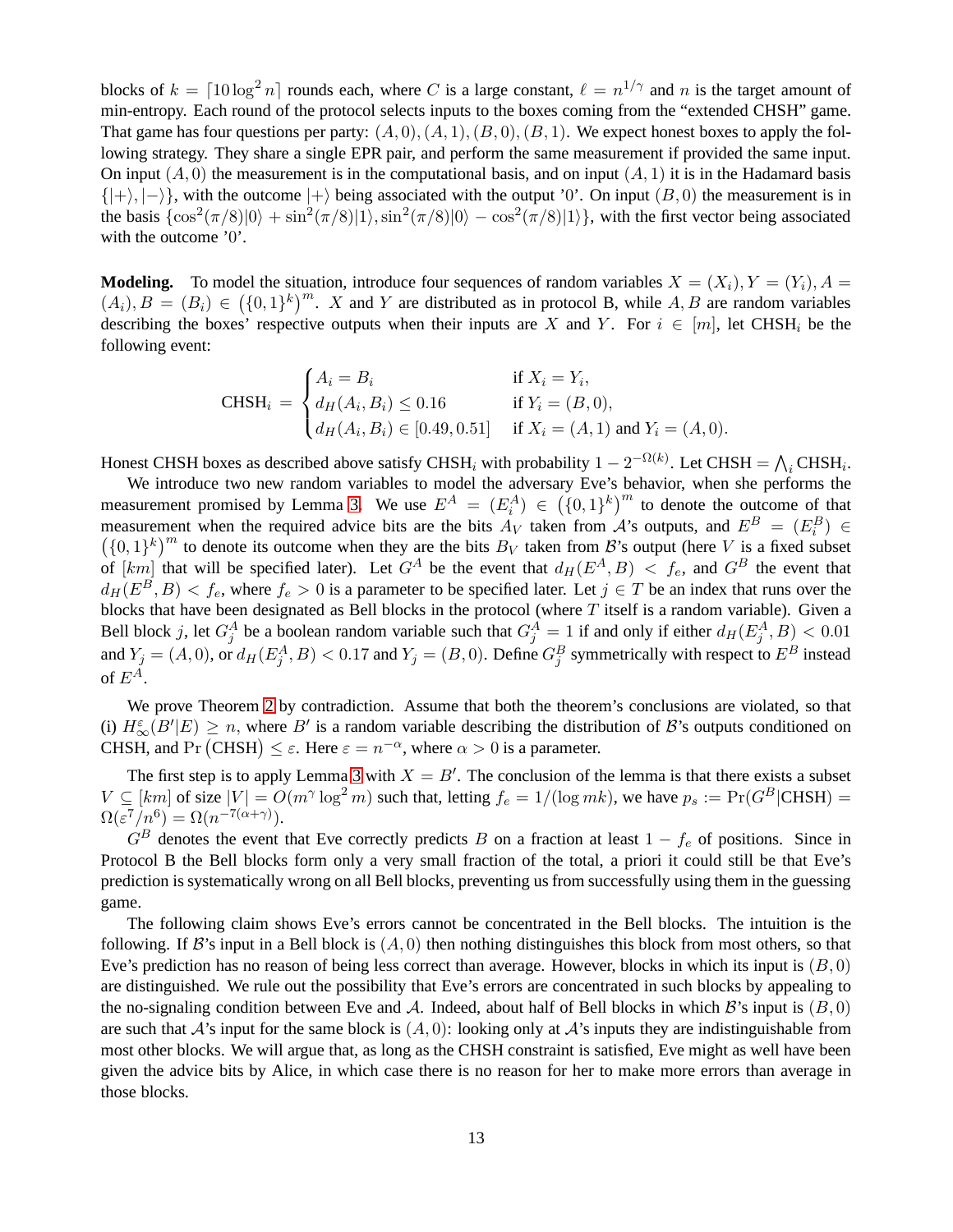blocks of  $k = \lceil 10 \log^2 n \rceil$  rounds each, where C is a large constant,  $\ell = n^{1/\gamma}$  and n is the target amount of min-entropy. Each round of the protocol selects inputs to the boxes coming from the "extended CHSH" game. That game has four questions per party:  $(A, 0), (A, 1), (B, 0), (B, 1)$ . We expect honest boxes to apply the following strategy. They share a single EPR pair, and perform the same measurement if provided the same input. On input  $(A, 0)$  the measurement is in the computational basis, and on input  $(A, 1)$  it is in the Hadamard basis  $\{|+\rangle, |-\rangle\}$ , with the outcome  $|+\rangle$  being associated with the output '0'. On input  $(B, 0)$  the measurement is in the basis  $\{\cos^2(\pi/8)|0\rangle + \sin^2(\pi/8)|1\rangle, \sin^2(\pi/8)|0\rangle - \cos^2(\pi/8)|1\rangle\}$ , with the first vector being associated with the outcome '0'.

**Modeling.** To model the situation, introduce four sequences of random variables  $X = (X_i), Y = (Y_i), A =$  $(A_i), B = (B_i) \in (\{0,1\}^k)^m$ . X and Y are distributed as in protocol B, while A, B are random variables describing the boxes' respective outputs when their inputs are X and Y. For  $i \in [m]$ , let CHSH<sub>i</sub> be the following event:

$$
\text{CHSH}_{i} = \begin{cases} A_{i} = B_{i} & \text{if } X_{i} = Y_{i}, \\ d_{H}(A_{i}, B_{i}) \leq 0.16 & \text{if } Y_{i} = (B, 0), \\ d_{H}(A_{i}, B_{i}) \in [0.49, 0.51] & \text{if } X_{i} = (A, 1) \text{ and } Y_{i} = (A, 0). \end{cases}
$$

Honest CHSH boxes as described above satisfy CHSH<sub>i</sub> with probability  $1 - 2^{-\Omega(k)}$ . Let CHSH =  $\bigwedge_i$ CHSH<sub>i</sub>.

We introduce two new random variables to model the adversary Eve's behavior, when she performs the measurement promised by Lemma [3.](#page-4-0) We use  $E^A = (E_i^A) \in (\{0,1\}^k)^m$  to denote the outcome of that measurement when the required advice bits are the bits  $A_V$  taken from  $A$ 's outputs, and  $E^B = (E_i^B) \in$ in the measurement when the required advice bits are the bits  $B_V$  taken from B's output (here V is a fixed subset  $((0,1)^k)^m$  to denote its outcome when they are the bits  $B_V$  taken from B's output (here V is a fixed subs of  $[km]$  that will be specified later). Let  $G^A$  be the event that  $d_H (E^A, B) < f_e$ , and  $G^B$  the event that  $d_H(E^B, B) < f_e$ , where  $f_e > 0$  is a parameter to be specified later. Let  $j \in T$  be an index that runs over the blocks that have been designated as Bell blocks in the protocol (where T itself is a random variable). Given a Bell block j, let  $G_j^A$  be a boolean random variable such that  $G_j^A = 1$  if and only if either  $d_H(E_j^A, B) < 0.01$ and  $Y_j = (A, 0)$ , or  $d_H(E_j^A, B) < 0.17$  and  $Y_j = (B, 0)$ . Define  $G_j^B$  symmetrically with respect to  $E^B$  instead of  $E^A$ .

We prove Theorem [2](#page-3-0) by contradiction. Assume that both the theorem's conclusions are violated, so that (i)  $H_{\infty}^{\varepsilon}(B'|E) \ge n$ , where B' is a random variable describing the distribution of B's outputs conditioned on CHSH, and Pr (CHSH)  $\leq \varepsilon$ . Here  $\varepsilon = n^{-\alpha}$ , where  $\alpha > 0$  is a parameter.

The first step is to apply Lemma [3](#page-4-0) with  $X = B'$ . The conclusion of the lemma is that there exists a subset  $V \subseteq [km]$  of size  $|V| = O(m^{\gamma} \log^2 m)$  such that, letting  $f_e = 1/(\log mk)$ , we have  $p_s := \Pr(G^B | \text{CHSH}) =$  $\Omega(\varepsilon^7/n^6) = \Omega(n^{-7(\alpha+\gamma)}).$ 

 $G^B$  denotes the event that Eve correctly predicts B on a fraction at least  $1 - f_e$  of positions. Since in Protocol B the Bell blocks form only a very small fraction of the total, a priori it could still be that Eve's prediction is systematically wrong on all Bell blocks, preventing us from successfully using them in the guessing game.

The following claim shows Eve's errors cannot be concentrated in the Bell blocks. The intuition is the following. If  $\mathcal B$ 's input in a Bell block is  $(A, 0)$  then nothing distinguishes this block from most others, so that Eve's prediction has no reason of being less correct than average. However, blocks in which its input is  $(B, 0)$ are distinguished. We rule out the possibility that Eve's errors are concentrated in such blocks by appealing to the no-signaling condition between Eve and A. Indeed, about half of Bell blocks in which  $\mathcal{B}'$ 's input is  $(B, 0)$ are such that  $\mathcal{A}$ 's input for the same block is  $(A, 0)$ : looking only at  $\mathcal{A}$ 's inputs they are indistinguishable from most other blocks. We will argue that, as long as the CHSH constraint is satisfied, Eve might as well have been given the advice bits by Alice, in which case there is no reason for her to make more errors than average in those blocks.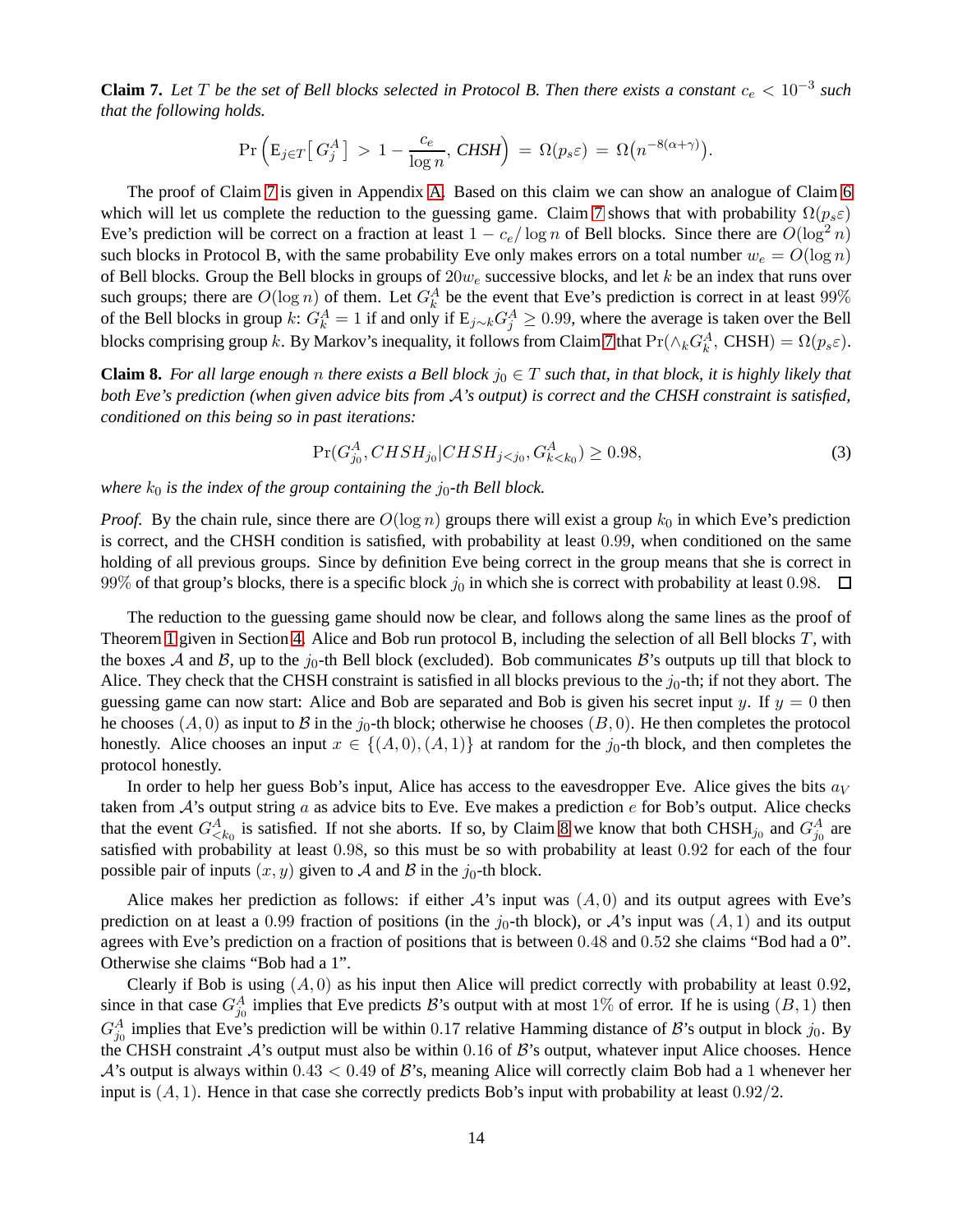<span id="page-13-0"></span>**Claim 7.** Let T be the set of Bell blocks selected in Protocol B. Then there exists a constant  $c_e < 10^{-3}$  such *that the following holds.*

$$
\Pr\left(\mathrm{E}_{j\in T}\left[G_j^A\right]>1-\frac{c_e}{\log n},\, \mathrm{CHSH}\right)\,=\,\Omega(p_s\varepsilon)\,=\,\Omega\big(n^{-8(\alpha+\gamma)}\big).
$$

The proof of Claim [7](#page-13-0) is given in Appendix [A.](#page-15-10) Based on this claim we can show an analogue of Claim [6](#page-8-1) which will let us complete the reduction to the guessing game. Claim [7](#page-13-0) shows that with probability  $\Omega(p_s \varepsilon)$ Eve's prediction will be correct on a fraction at least  $1 - c_e / \log n$  of Bell blocks. Since there are  $O(\log^2 n)$ such blocks in Protocol B, with the same probability Eve only makes errors on a total number  $w_e = O(\log n)$ of Bell blocks. Group the Bell blocks in groups of  $20w_e$  successive blocks, and let k be an index that runs over such groups; there are  $O(\log n)$  of them. Let  $G_k^A$  be the event that Eve's prediction is correct in at least 99% of the Bell blocks in group k:  $G_k^A = 1$  if and only if  $E_{j \sim k} G_j^A \ge 0.99$ , where the average is taken over the Bell blocks comprising group k. By Markov's inequality, it follows from Claim [7](#page-13-0) that  $Pr(\wedge_k G_k^A, \text{CHSH}) = \Omega(p_s \varepsilon)$ .

<span id="page-13-1"></span>**Claim 8.** For all large enough n there exists a Bell block  $j_0 \in T$  such that, in that block, it is highly likely that *both Eve's prediction (when given advice bits from* A*'s output) is correct and the CHSH constraint is satisfied, conditioned on this being so in past iterations:*

$$
\Pr(G_{j_0}^A, CHSH_{j_0}|CHSH_{j
$$

*where*  $k_0$  *is the index of the group containing the j*<sub>0</sub>-th Bell block.

*Proof.* By the chain rule, since there are  $O(\log n)$  groups there will exist a group  $k_0$  in which Eve's prediction is correct, and the CHSH condition is satisfied, with probability at least 0.99, when conditioned on the same holding of all previous groups. Since by definition Eve being correct in the group means that she is correct in 99% of that group's blocks, there is a specific block  $j_0$  in which she is correct with probability at least 0.98.  $\Box$ 

The reduction to the guessing game should now be clear, and follows along the same lines as the proof of Theorem [1](#page-1-3) given in Section [4.](#page-8-0) Alice and Bob run protocol B, including the selection of all Bell blocks T, with the boxes A and B, up to the  $j_0$ -th Bell block (excluded). Bob communicates B's outputs up till that block to Alice. They check that the CHSH constraint is satisfied in all blocks previous to the  $j_0$ -th; if not they abort. The guessing game can now start: Alice and Bob are separated and Bob is given his secret input y. If  $y = 0$  then he chooses  $(A, 0)$  as input to B in the  $j_0$ -th block; otherwise he chooses  $(B, 0)$ . He then completes the protocol honestly. Alice chooses an input  $x \in \{(A, 0), (A, 1)\}\$  at random for the j<sub>0</sub>-th block, and then completes the protocol honestly.

In order to help her guess Bob's input, Alice has access to the eavesdropper Eve. Alice gives the bits  $a_V$ taken from  $\mathcal{A}$ 's output string a as advice bits to Eve. Eve makes a prediction e for Bob's output. Alice checks that the event  $G^A_{\le k_0}$  is satisfied. If not she aborts. If so, by Claim [8](#page-13-1) we know that both CHSH<sub>j0</sub> and  $G^A_{j_0}$  are satisfied with probability at least 0.98, so this must be so with probability at least 0.92 for each of the four possible pair of inputs  $(x, y)$  given to A and B in the  $j_0$ -th block.

Alice makes her prediction as follows: if either  $A$ 's input was  $(A, 0)$  and its output agrees with Eve's prediction on at least a 0.99 fraction of positions (in the  $j_0$ -th block), or A's input was  $(A, 1)$  and its output agrees with Eve's prediction on a fraction of positions that is between 0.48 and 0.52 she claims "Bod had a 0". Otherwise she claims "Bob had a 1".

Clearly if Bob is using  $(A, 0)$  as his input then Alice will predict correctly with probability at least 0.92, since in that case  $G_{j_0}^A$  implies that Eve predicts B's output with at most 1% of error. If he is using  $(B, 1)$  then  $G_{j_0}^A$  implies that Eve's prediction will be within 0.17 relative Hamming distance of B's output in block  $j_0$ . By the CHSH constraint  $A$ 's output must also be within 0.16 of  $B$ 's output, whatever input Alice chooses. Hence  $\mathcal{A}$ 's output is always within 0.43 < 0.49 of  $\mathcal{B}$ 's, meaning Alice will correctly claim Bob had a 1 whenever her input is  $(A, 1)$ . Hence in that case she correctly predicts Bob's input with probability at least  $0.92/2$ .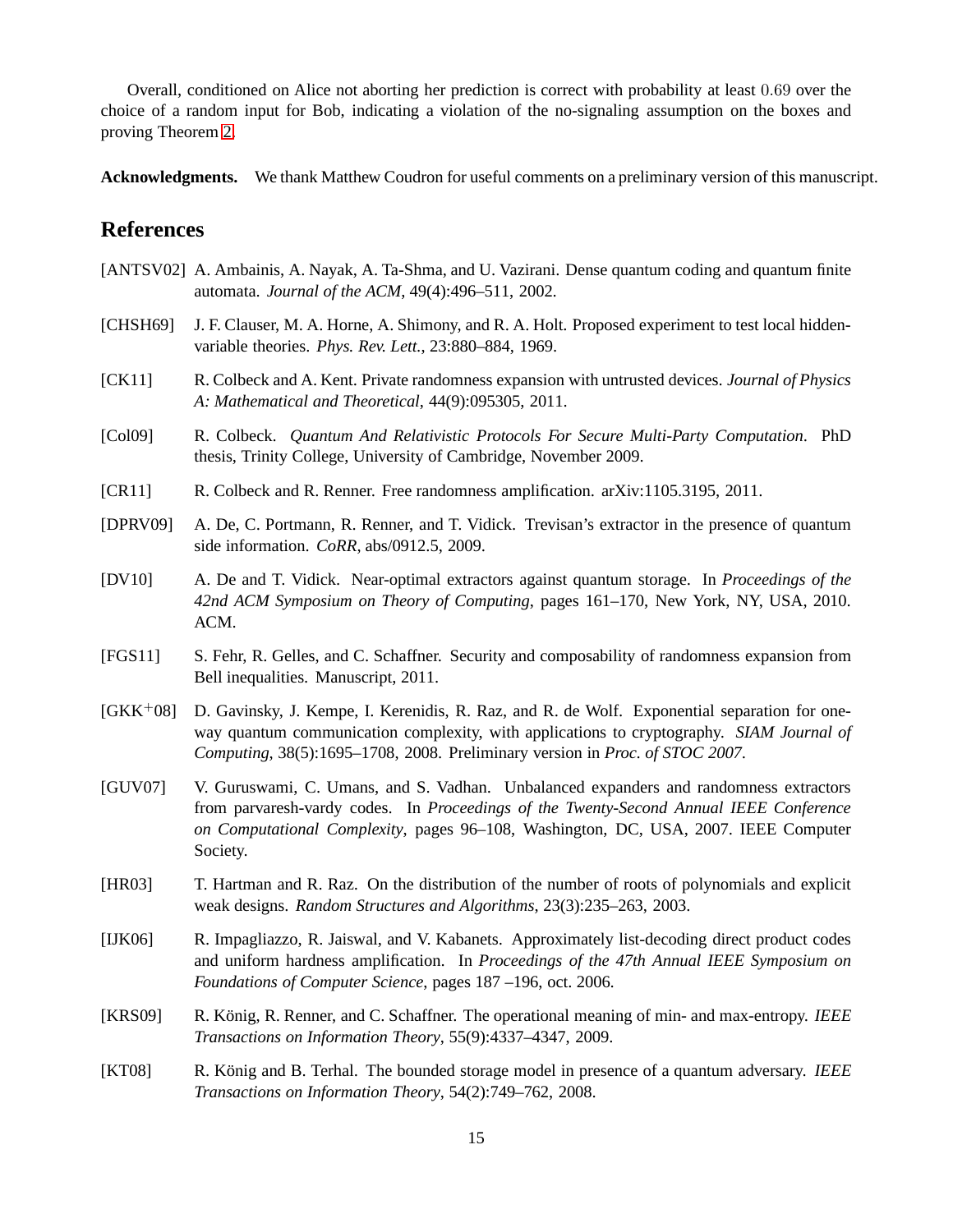Overall, conditioned on Alice not aborting her prediction is correct with probability at least 0.69 over the choice of a random input for Bob, indicating a violation of the no-signaling assumption on the boxes and proving Theorem [2.](#page-3-0)

**Acknowledgments.** We thank Matthew Coudron for useful comments on a preliminary version of this manuscript.

## **References**

- <span id="page-14-10"></span>[ANTSV02] A. Ambainis, A. Nayak, A. Ta-Shma, and U. Vazirani. Dense quantum coding and quantum finite automata. *Journal of the ACM*, 49(4):496–511, 2002.
- <span id="page-14-9"></span>[CHSH69] J. F. Clauser, M. A. Horne, A. Shimony, and R. A. Holt. Proposed experiment to test local hiddenvariable theories. *Phys. Rev. Lett.*, 23:880–884, 1969.
- <span id="page-14-1"></span>[CK11] R. Colbeck and A. Kent. Private randomness expansion with untrusted devices. *Journal of Physics A: Mathematical and Theoretical*, 44(9):095305, 2011.
- <span id="page-14-0"></span>[Col09] R. Colbeck. *Quantum And Relativistic Protocols For Secure Multi-Party Computation*. PhD thesis, Trinity College, University of Cambridge, November 2009.
- <span id="page-14-7"></span>[CR11] R. Colbeck and R. Renner. Free randomness amplification. arXiv:1105.3195, 2011.
- <span id="page-14-4"></span>[DPRV09] A. De, C. Portmann, R. Renner, and T. Vidick. Trevisan's extractor in the presence of quantum side information. *CoRR*, abs/0912.5, 2009.
- <span id="page-14-5"></span>[DV10] A. De and T. Vidick. Near-optimal extractors against quantum storage. In *Proceedings of the 42nd ACM Symposium on Theory of Computing*, pages 161–170, New York, NY, USA, 2010. ACM.
- <span id="page-14-6"></span>[FGS11] S. Fehr, R. Gelles, and C. Schaffner. Security and composability of randomness expansion from Bell inequalities. Manuscript, 2011.
- <span id="page-14-3"></span>[GKK+08] D. Gavinsky, J. Kempe, I. Kerenidis, R. Raz, and R. de Wolf. Exponential separation for oneway quantum communication complexity, with applications to cryptography. *SIAM Journal of Computing*, 38(5):1695–1708, 2008. Preliminary version in *Proc. of STOC 2007*.
- <span id="page-14-2"></span>[GUV07] V. Guruswami, C. Umans, and S. Vadhan. Unbalanced expanders and randomness extractors from parvaresh-vardy codes. In *Proceedings of the Twenty-Second Annual IEEE Conference on Computational Complexity*, pages 96–108, Washington, DC, USA, 2007. IEEE Computer Society.
- <span id="page-14-12"></span>[HR03] T. Hartman and R. Raz. On the distribution of the number of roots of polynomials and explicit weak designs. *Random Structures and Algorithms*, 23(3):235–263, 2003.
- <span id="page-14-13"></span>[IJK06] R. Impagliazzo, R. Jaiswal, and V. Kabanets. Approximately list-decoding direct product codes and uniform hardness amplification. In *Proceedings of the 47th Annual IEEE Symposium on Foundations of Computer Science*, pages 187 –196, oct. 2006.
- <span id="page-14-8"></span>[KRS09] R. König, R. Renner, and C. Schaffner. The operational meaning of min- and max-entropy. *IEEE Transactions on Information Theory*, 55(9):4337–4347, 2009.
- <span id="page-14-11"></span>[KT08] R. König and B. Terhal. The bounded storage model in presence of a quantum adversary. *IEEE Transactions on Information Theory*, 54(2):749–762, 2008.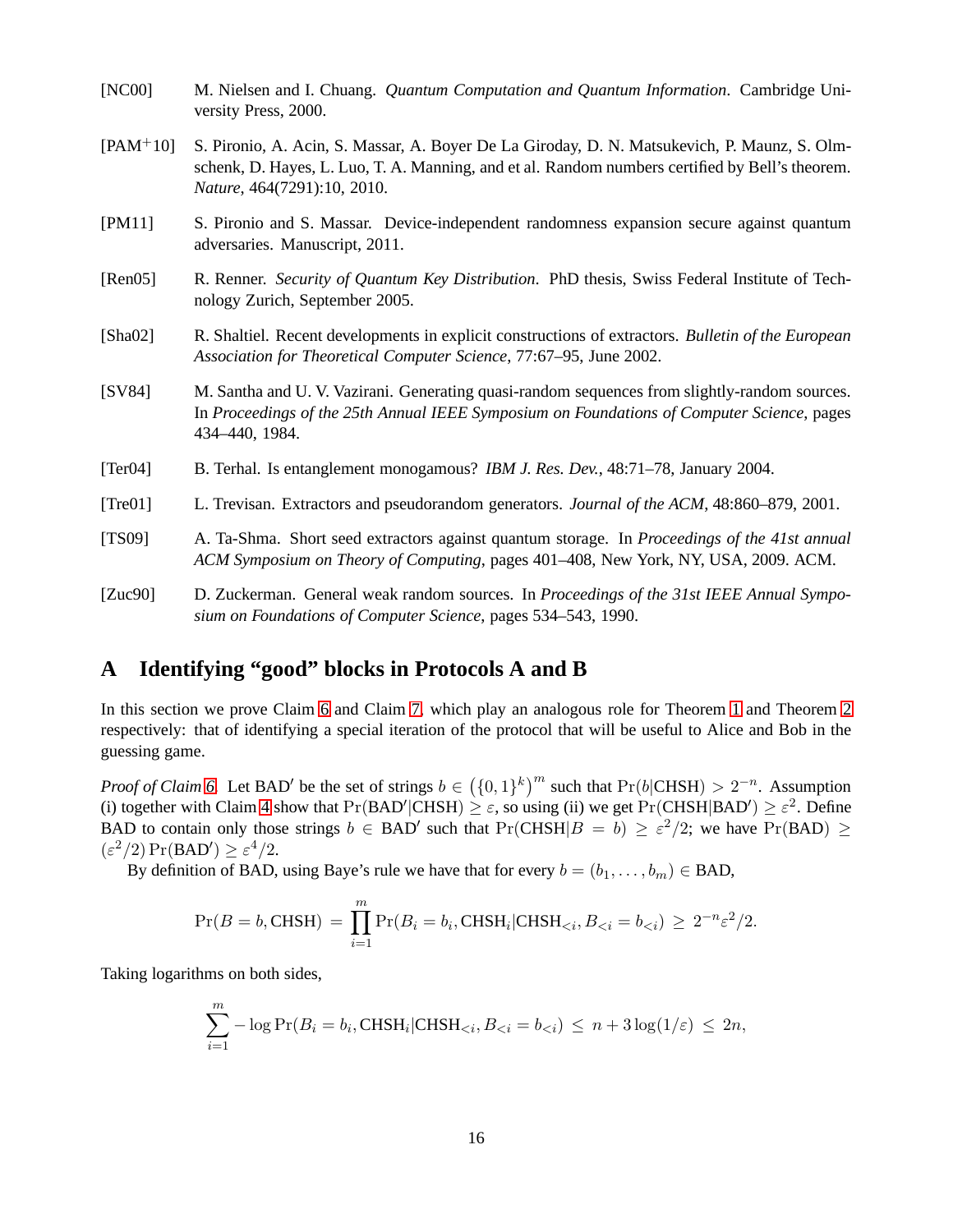- <span id="page-15-9"></span>[NC00] M. Nielsen and I. Chuang. *Quantum Computation and Quantum Information*. Cambridge University Press, 2000.
- <span id="page-15-3"></span>[PAM+10] S. Pironio, A. Acin, S. Massar, A. Boyer De La Giroday, D. N. Matsukevich, P. Maunz, S. Olmschenk, D. Hayes, L. Luo, T. A. Manning, and et al. Random numbers certified by Bell's theorem. *Nature*, 464(7291):10, 2010.
- <span id="page-15-7"></span>[PM11] S. Pironio and S. Massar. Device-independent randomness expansion secure against quantum adversaries. Manuscript, 2011.
- <span id="page-15-8"></span>[Ren05] R. Renner. *Security of Quantum Key Distribution*. PhD thesis, Swiss Federal Institute of Technology Zurich, September 2005.
- <span id="page-15-2"></span>[Sha02] R. Shaltiel. Recent developments in explicit constructions of extractors. *Bulletin of the European Association for Theoretical Computer Science*, 77:67–95, June 2002.
- <span id="page-15-0"></span>[SV84] M. Santha and U. V. Vazirani. Generating quasi-random sequences from slightly-random sources. In *Proceedings of the 25th Annual IEEE Symposium on Foundations of Computer Science*, pages 434–440, 1984.
- <span id="page-15-6"></span>[Ter04] B. Terhal. Is entanglement monogamous? *IBM J. Res. Dev.*, 48:71–78, January 2004.
- <span id="page-15-4"></span>[Tre01] L. Trevisan. Extractors and pseudorandom generators. *Journal of the ACM*, 48:860–879, 2001.
- <span id="page-15-5"></span>[TS09] A. Ta-Shma. Short seed extractors against quantum storage. In *Proceedings of the 41st annual ACM Symposium on Theory of Computing*, pages 401–408, New York, NY, USA, 2009. ACM.
- <span id="page-15-1"></span>[Zuc90] D. Zuckerman. General weak random sources. In *Proceedings of the 31st IEEE Annual Symposium on Foundations of Computer Science*, pages 534–543, 1990.

# <span id="page-15-10"></span>**A Identifying "good" blocks in Protocols A and B**

In this section we prove Claim [6](#page-8-1) and Claim [7,](#page-13-0) which play an analogous role for Theorem [1](#page-1-3) and Theorem [2](#page-3-0) respectively: that of identifying a special iteration of the protocol that will be useful to Alice and Bob in the guessing game.

*Proof of Claim [6.](#page-8-1)* Let BAD' be the set of strings  $b \in (\{0,1\}^k)^m$  such that  $Pr(b|CHSH) > 2^{-n}$ . Assumption (i) together with Claim [4](#page-5-1) show that  $Pr(BAD'|CHSH) \geq \varepsilon$ , so using (ii) we get  $Pr(CHSH|BAD') \geq \varepsilon^2$ . Define BAD to contain only those strings  $b \in BAD'$  such that  $Pr(CHSH|B = b) \geq \varepsilon^2/2$ ; we have  $Pr(BAD) \geq$  $(\varepsilon^2/2) \Pr(BAD') \geq \varepsilon^4/2.$ 

By definition of BAD, using Baye's rule we have that for every  $b = (b_1, \ldots, b_m) \in BAD$ ,

$$
Pr(B = b, \text{CHSH}) = \prod_{i=1}^{m} Pr(B_i = b_i, \text{CHSH}_i | \text{CHSH}_{< i}, B_{< i} = b_{< i}) \ge 2^{-n} \varepsilon^2 / 2.
$$

Taking logarithms on both sides,

$$
\sum_{i=1}^{m} -\log \Pr(B_i = b_i, \text{CHSH}_i | \text{CHSH}_{< i}, B_{< i} = b_{< i}) \le n + 3\log(1/\varepsilon) \le 2n,
$$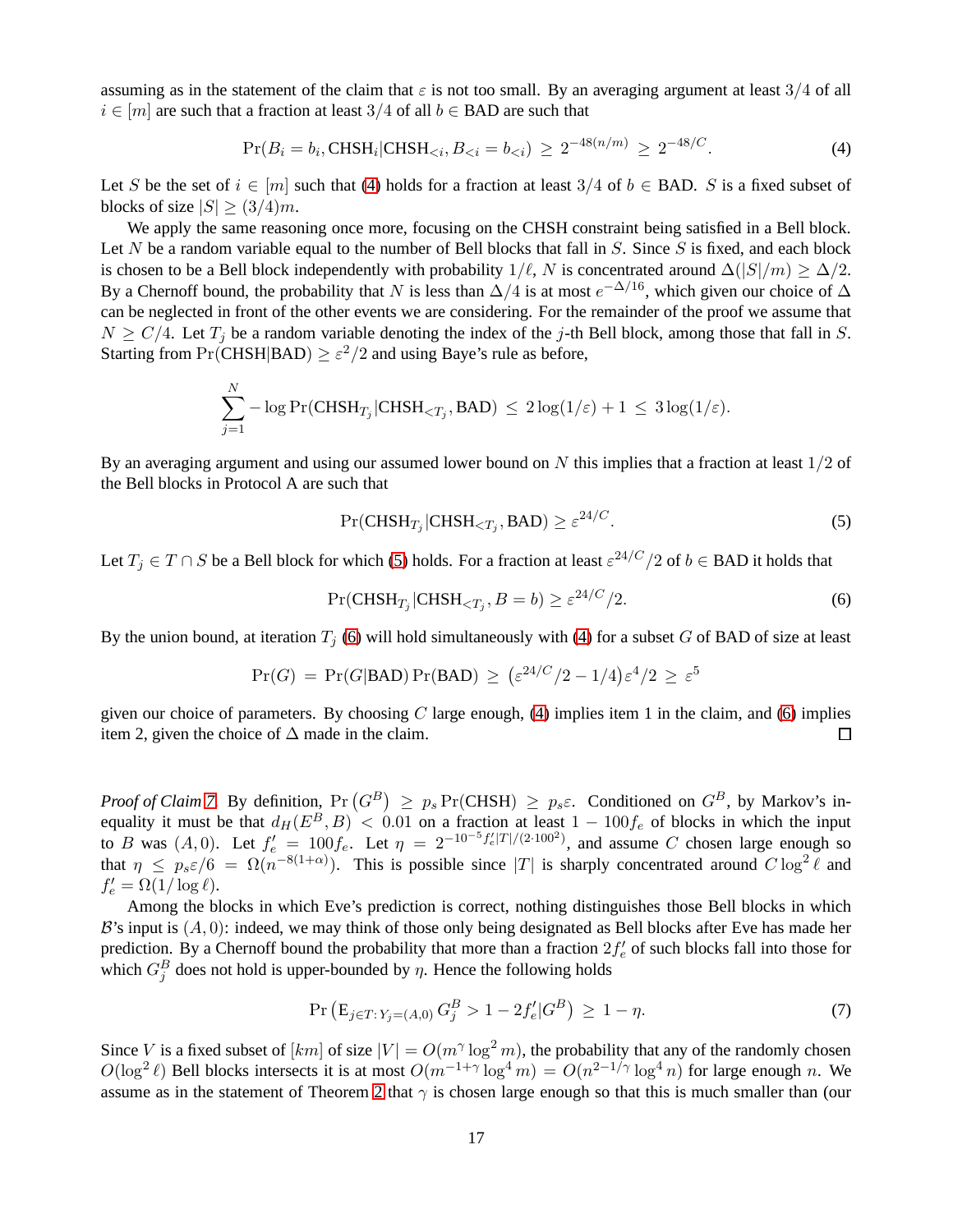assuming as in the statement of the claim that  $\varepsilon$  is not too small. By an averaging argument at least 3/4 of all  $i \in [m]$  are such that a fraction at least 3/4 of all  $b \in$  BAD are such that

<span id="page-16-0"></span>
$$
Pr(B_i = b_i, \text{CHSH}_i | \text{CHSH}_{< i}, B_{< i} = b_{< i}) \ge 2^{-48(n/m)} \ge 2^{-48/C}.\tag{4}
$$

Let S be the set of  $i \in [m]$  such that [\(4\)](#page-16-0) holds for a fraction at least 3/4 of  $b \in$  BAD. S is a fixed subset of blocks of size  $|S| \geq (3/4)m$ .

We apply the same reasoning once more, focusing on the CHSH constraint being satisfied in a Bell block. Let N be a random variable equal to the number of Bell blocks that fall in  $S$ . Since  $S$  is fixed, and each block is chosen to be a Bell block independently with probability  $1/\ell$ , N is concentrated around  $\Delta(|S|/m) \geq \Delta/2$ . By a Chernoff bound, the probability that N is less than  $\Delta/4$  is at most  $e^{-\Delta/16}$ , which given our choice of  $\Delta$ can be neglected in front of the other events we are considering. For the remainder of the proof we assume that  $N \ge C/4$ . Let  $T_i$  be a random variable denoting the index of the j-th Bell block, among those that fall in S. Starting from  $Pr(\text{CHSH}|\text{BAD}) \geq \varepsilon^2/2$  and using Baye's rule as before,

$$
\sum_{j=1}^{N} -\log \Pr(\text{CHSH}_{T_j}|\text{CHSH}_{
$$

By an averaging argument and using our assumed lower bound on N this implies that a fraction at least  $1/2$  of the Bell blocks in Protocol A are such that

<span id="page-16-1"></span>
$$
\Pr(\text{CHSH}_{T_j}|\text{CHSH}_{\langle T_j}, \text{BAD}) \ge \varepsilon^{24/C}.\tag{5}
$$

Let  $T_j \in T \cap S$  be a Bell block for which [\(5\)](#page-16-1) holds. For a fraction at least  $\varepsilon^{24/C}/2$  of  $b \in$  BAD it holds that

<span id="page-16-2"></span>
$$
\Pr(\text{CHSH}_{T_j}|\text{CHSH}_{\leq T_j}, B = b) \geq \varepsilon^{24/C}/2. \tag{6}
$$

By the union bound, at iteration  $T_j$  [\(6\)](#page-16-2) will hold simultaneously with [\(4\)](#page-16-0) for a subset G of BAD of size at least

$$
Pr(G) = Pr(G|BAD) Pr(BAD) \ge (\varepsilon^{24/C}/2 - 1/4)\varepsilon^4/2 \ge \varepsilon^5
$$

given our choice of parameters. By choosing  $C$  large enough, [\(4\)](#page-16-0) implies item 1 in the claim, and [\(6\)](#page-16-2) implies item 2, given the choice of  $\Delta$  made in the claim.  $\Box$ 

*Proof of Claim* [7.](#page-13-0) By definition,  $Pr(G^B) \ge p_s Pr(CHSH) \ge p_s \varepsilon$ . Conditioned on  $G^B$ , by Markov's inequality it must be that  $d_H(E^B, B) < 0.01$  on a fraction at least  $1 - 100f_e$  of blocks in which the input to B was  $(A, 0)$ . Let  $f'_e = 100f_e$ . Let  $\eta = 2^{-10^{-5}}f'_e|T|/(2 \cdot 100^2)$ , and assume C chosen large enough so that  $\eta \leq p_s \varepsilon/6 = \Omega(n^{-8(1+\alpha)})$ . This is possible since |T| is sharply concentrated around  $C \log^2 \ell$  and  $f'_e = \Omega(1/\log \ell).$ 

Among the blocks in which Eve's prediction is correct, nothing distinguishes those Bell blocks in which  $B$ 's input is  $(A, 0)$ : indeed, we may think of those only being designated as Bell blocks after Eve has made her prediction. By a Chernoff bound the probability that more than a fraction  $2f'_e$  of such blocks fall into those for which  $G_j^B$  does not hold is upper-bounded by  $\eta$ . Hence the following holds

$$
\Pr\left(\mathbf{E}_{j\in T:\,Y_j=(A,0)}\,G_j^B > 1 - 2f'_e \middle| G^B\right) \,\geq\, 1 - \eta. \tag{7}
$$

Since V is a fixed subset of  $[km]$  of size  $|V| = O(m^{\gamma} \log^2 m)$ , the probability that any of the randomly chosen  $O(\log^2 \ell)$  Bell blocks intersects it is at most  $O(m^{-1+\gamma} \log^4 m) = O(n^{2-1/\gamma} \log^4 n)$  for large enough n. We assume as in the statement of Theorem [2](#page-3-0) that  $\gamma$  is chosen large enough so that this is much smaller than (our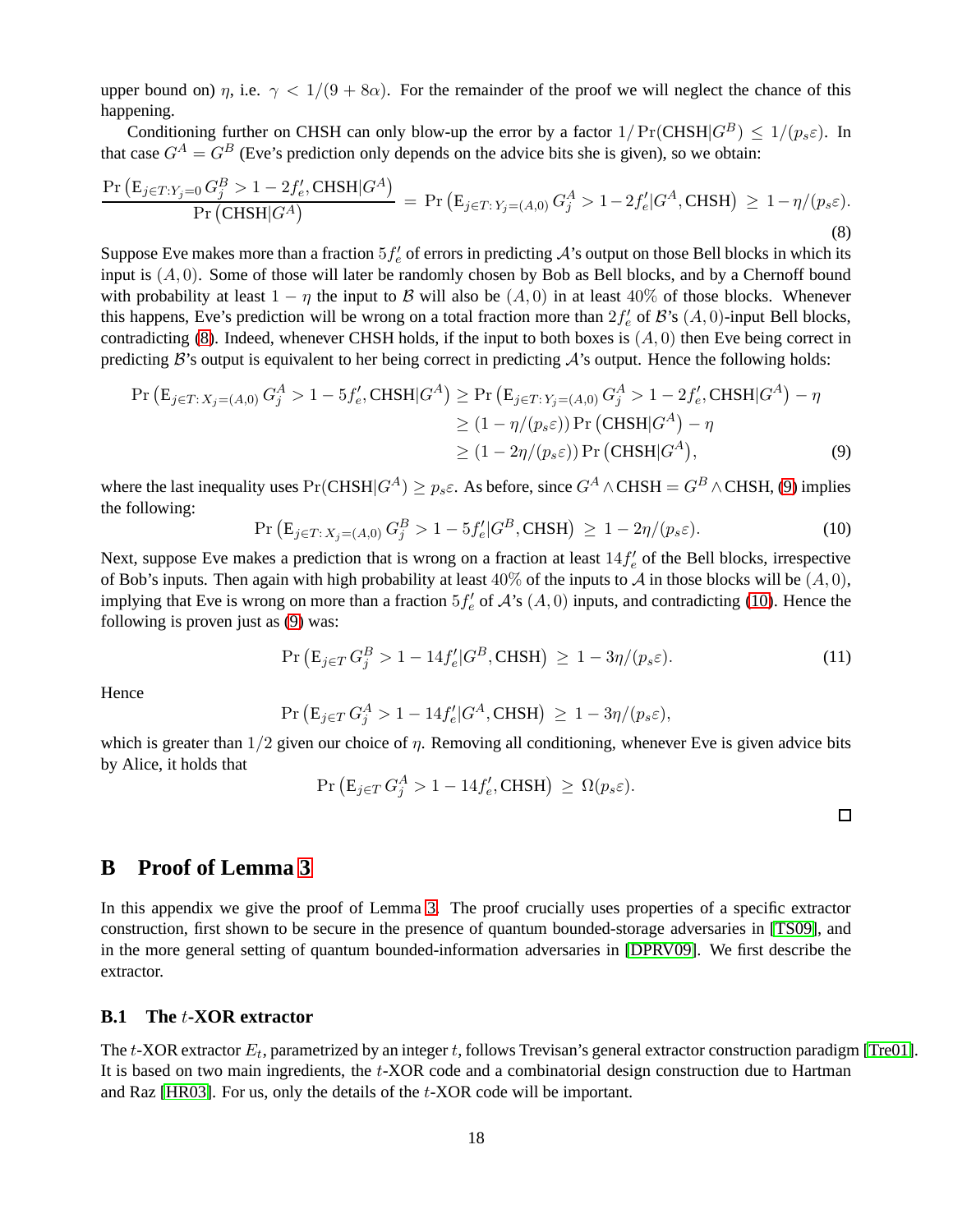upper bound on)  $\eta$ , i.e.  $\gamma < 1/(9 + 8\alpha)$ . For the remainder of the proof we will neglect the chance of this happening.

Conditioning further on CHSH can only blow-up the error by a factor  $1/Pr(CHSH|G^B) \le 1/(p_s \varepsilon)$ . In that case  $G^A = G^B$  (Eve's prediction only depends on the advice bits she is given), so we obtain:

<span id="page-17-1"></span>
$$
\frac{\Pr\left(E_{j\in T:Y_{j}=0}G_{j}^{B} > 1 - 2f_{e}',\text{CHSH}|G^{A}\right)}{\Pr\left(\text{CHSH}|G^{A}\right)} = \Pr\left(E_{j\in T:Y_{j}=(A,0)}G_{j}^{A} > 1 - 2f_{e}'|G^{A},\text{CHSH}\right) \ge 1 - \eta/(p_{s}\varepsilon).
$$
\n(8)

Suppose Eve makes more than a fraction  $5f'_e$  of errors in predicting  $A$ 's output on those Bell blocks in which its input is  $(A, 0)$ . Some of those will later be randomly chosen by Bob as Bell blocks, and by a Chernoff bound with probability at least  $1 - \eta$  the input to B will also be  $(A, 0)$  in at least 40% of those blocks. Whenever this happens, Eve's prediction will be wrong on a total fraction more than  $2f'_e$  of  $\mathcal{B}'s$   $(A, 0)$ -input Bell blocks, contradicting [\(8\)](#page-17-1). Indeed, whenever CHSH holds, if the input to both boxes is  $(A, 0)$  then Eve being correct in predicting  $\mathcal{B}$ 's output is equivalent to her being correct in predicting  $\mathcal{A}$ 's output. Hence the following holds:

$$
\Pr\left(\mathbf{E}_{j\in T:X_j=(A,0)} G_j^A > 1 - 5f'_e, \text{CHSH}|G^A\right) \ge \Pr\left(\mathbf{E}_{j\in T:Y_j=(A,0)} G_j^A > 1 - 2f'_e, \text{CHSH}|G^A\right) - \eta
$$
\n
$$
\ge (1 - \eta/(p_s \varepsilon)) \Pr\left(\text{CHSH}|G^A\right) - \eta
$$
\n
$$
\ge (1 - 2\eta/(p_s \varepsilon)) \Pr\left(\text{CHSH}|G^A\right),\tag{9}
$$

where the last inequality uses  $Pr(CHSH|G^A) \geq p_s \varepsilon$ . As before, since  $G^A \wedge CHSH = G^B \wedge CHSH$ , [\(9\)](#page-17-2) implies the following:

<span id="page-17-3"></span>
$$
\Pr\left(\mathbf{E}_{j\in T:X_j=(A,0)} G_j^B > 1 - 5f'_e | G^B, \text{CHSH}\right) \ge 1 - 2\eta/(p_s \varepsilon). \tag{10}
$$

Next, suppose Eve makes a prediction that is wrong on a fraction at least  $14f'_e$  of the Bell blocks, irrespective of Bob's inputs. Then again with high probability at least  $40\%$  of the inputs to A in those blocks will be  $(A, 0)$ , implying that Eve is wrong on more than a fraction  $5f'_e$  of  $\mathcal{A}$ 's  $(A, 0)$  inputs, and contradicting [\(10\)](#page-17-3). Hence the following is proven just as [\(9\)](#page-17-2) was:

$$
\Pr\left(E_{j\in T} G_j^B > 1 - 14f'_e | G^B, \text{CHSH}\right) \ge 1 - 3\eta/(p_s \varepsilon). \tag{11}
$$

**Hence** 

$$
\Pr\left(\mathbf{E}_{j\in T} G_j^A > 1 - 14f'_e | G^A, \text{CHSH}\right) \ge 1 - 3\eta/(p_s \varepsilon),
$$

which is greater than  $1/2$  given our choice of  $\eta$ . Removing all conditioning, whenever Eve is given advice bits by Alice, it holds that

$$
\Pr\left(\mathbf{E}_{j\in T} G_j^A > 1 - 14f'_e, \text{CHSH}\right) \ge \Omega(p_s \varepsilon).
$$

<span id="page-17-2"></span>

# <span id="page-17-0"></span>**B Proof of Lemma [3](#page-4-0)**

In this appendix we give the proof of Lemma [3.](#page-4-0) The proof crucially uses properties of a specific extractor construction, first shown to be secure in the presence of quantum bounded-storage adversaries in [\[TS09\]](#page-15-5), and in the more general setting of quantum bounded-information adversaries in [\[DPRV09\]](#page-14-4). We first describe the extractor.

### **B.1 The** t**-XOR extractor**

The  $t$ -XOR extractor  $E_t$ , parametrized by an integer  $t$ , follows Trevisan's general extractor construction paradigm [\[Tre01\]](#page-15-4). It is based on two main ingredients, the t-XOR code and a combinatorial design construction due to Hartman and Raz [\[HR03\]](#page-14-12). For us, only the details of the t-XOR code will be important.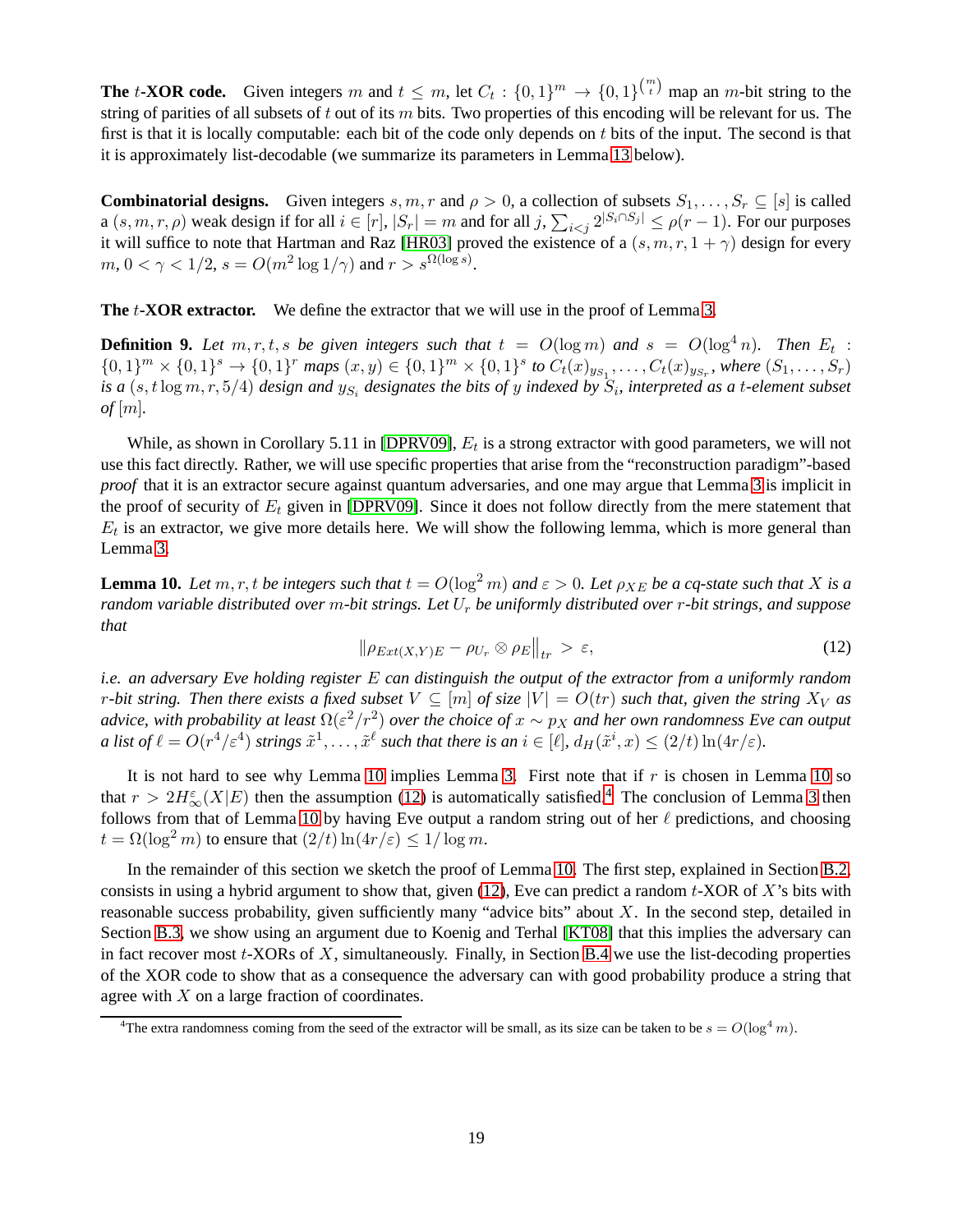**The** t**-XOR code.** Given integers m and  $t \leq m$ , let  $C_t : \{0,1\}^m \to \{0,1\}^{\binom{m}{t}}$  map an m-bit string to the string of parities of all subsets of t out of its  $m$  bits. Two properties of this encoding will be relevant for us. The first is that it is locally computable: each bit of the code only depends on  $t$  bits of the input. The second is that it is approximately list-decodable (we summarize its parameters in Lemma [13](#page-20-0) below).

**Combinatorial designs.** Given integers s, m, r and  $\rho > 0$ , a collection of subsets  $S_1, \ldots, S_r \subseteq [s]$  is called a  $(s, m, r, \rho)$  weak design if for all  $i \in [r]$ ,  $|S_r| = m$  and for all  $j$ ,  $\sum_{i \le j} 2^{|S_i \cap S_j|} \le \rho(r-1)$ . For our purposes it will suffice to note that Hartman and Raz [\[HR03\]](#page-14-12) proved the existence of a  $(s, m, r, 1 + \gamma)$  design for every  $m, 0 < \gamma < 1/2, s = O(m^2 \log 1/\gamma)$  and  $r > s^{\Omega(\log s)}$ .

**The** t**-XOR extractor.** We define the extractor that we will use in the proof of Lemma [3.](#page-4-0)

**Definition 9.** Let  $m, r, t, s$  be given integers such that  $t = O(\log m)$  and  $s = O(\log^4 n)$ . Then  $E_t$  :  $\{0,1\}^m \times \{0,1\}^s \to \{0,1\}^r$  maps  $(x, y) \in \{0,1\}^m \times \{0,1\}^s$  to  $C_t(x)_{y_{S_1}}, \ldots, C_t(x)_{y_{S_r}},$  where  $(S_1, \ldots, S_r)$ is a  $(s, t \log m, r, 5/4)$  design and  $y_{S_i}$  designates the bits of  $y$  indexed by  $S_i$ , interpreted as a t-element subset *of* [m]*.*

While, as shown in Corollary 5.11 in [\[DPRV09\]](#page-14-4),  $E_t$  is a strong extractor with good parameters, we will not use this fact directly. Rather, we will use specific properties that arise from the "reconstruction paradigm"-based *proof* that it is an extractor secure against quantum adversaries, and one may argue that Lemma [3](#page-4-0) is implicit in the proof of security of  $E_t$  given in [\[DPRV09\]](#page-14-4). Since it does not follow directly from the mere statement that  $E_t$  is an extractor, we give more details here. We will show the following lemma, which is more general than Lemma [3.](#page-4-0)

<span id="page-18-0"></span>**Lemma 10.** Let  $m, r, t$  be integers such that  $t = O(\log^2 m)$  and  $\epsilon > 0$ . Let  $\rho_{XE}$  be a cq-state such that X is a *random variable distributed over* m*-bit strings. Let* U<sup>r</sup> *be uniformly distributed over* r*-bit strings, and suppose that*

<span id="page-18-1"></span>
$$
\|\rho_{Ext(X,Y)E} - \rho_{U_r} \otimes \rho_E\|_{tr} > \varepsilon,\tag{12}
$$

*i.e. an adversary Eve holding register* E *can distinguish the output of the extractor from a uniformly random r*-bit string. Then there exists a fixed subset  $V \subseteq [m]$  of size  $|V| = O(tr)$  such that, given the string  $X_V$  as *advice, with probability at least*  $\Omega(\varepsilon^2/r^2)$  *over the choice of*  $x \sim p_X$  *and her own randomness Eve can output a* list of  $\ell = O(r^4/\varepsilon^4)$  strings  $\tilde{x}^1, \ldots, \tilde{x}^\ell$  such that there is an  $i \in [\ell], d_H(\tilde{x}^i, x) \le (2/t) \ln(4r/\varepsilon)$ .

It is not hard to see why Lemma [10](#page-18-0) implies Lemma [3.](#page-4-0) First note that if  $r$  is chosen in Lemma 10 so that  $r > 2H_{\infty}^{\varepsilon}(X|E)$  then the assumption [\(12\)](#page-18-1) is automatically satisfied.<sup>[4](#page-18-2)</sup> The conclusion of Lemma [3](#page-4-0) then follows from that of Lemma [10](#page-18-0) by having Eve output a random string out of her  $\ell$  predictions, and choosing  $t = \Omega(\log^2 m)$  to ensure that  $\left(\frac{2}{t}\right) \ln\left(\frac{4r}{\epsilon}\right) \leq \frac{1}{\log m}$ .

In the remainder of this section we sketch the proof of Lemma [10.](#page-18-0) The first step, explained in Section [B.2,](#page-19-0) consists in using a hybrid argument to show that, given  $(12)$ , Eve can predict a random t-XOR of X's bits with reasonable success probability, given sufficiently many "advice bits" about  $X$ . In the second step, detailed in Section [B.3,](#page-19-1) we show using an argument due to Koenig and Terhal [\[KT08\]](#page-14-11) that this implies the adversary can in fact recover most  $t$ -XORs of  $X$ , simultaneously. Finally, in Section [B.4](#page-20-1) we use the list-decoding properties of the XOR code to show that as a consequence the adversary can with good probability produce a string that agree with  $X$  on a large fraction of coordinates.

<span id="page-18-2"></span><sup>&</sup>lt;sup>4</sup>The extra randomness coming from the seed of the extractor will be small, as its size can be taken to be  $s = O(\log^4 m)$ .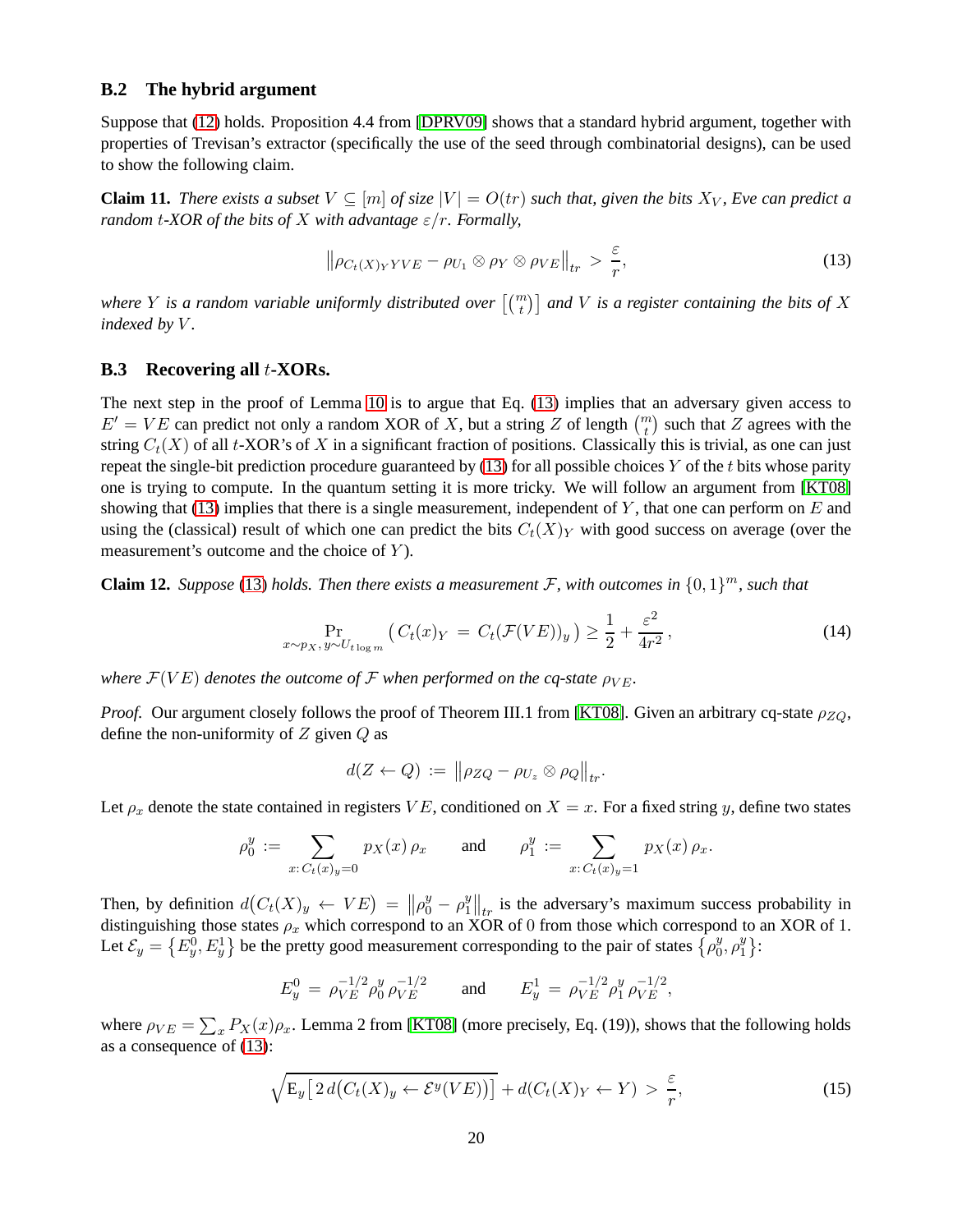#### <span id="page-19-0"></span>**B.2 The hybrid argument**

Suppose that [\(12\)](#page-18-1) holds. Proposition 4.4 from [\[DPRV09\]](#page-14-4) shows that a standard hybrid argument, together with properties of Trevisan's extractor (specifically the use of the seed through combinatorial designs), can be used to show the following claim.

**Claim 11.** *There exists a subset*  $V \subseteq [m]$  *of size*  $|V| = O(tr)$  *such that, given the bits*  $X_V$ *, Eve can predict a random t-XOR of the bits of* X *with advantage*  $\varepsilon/r$ *. Formally,* 

<span id="page-19-2"></span>
$$
\left\|\rho_{C_t(X)_YYVE}-\rho_{U_1}\otimes\rho_Y\otimes\rho_{VE}\right\|_{tr}>\frac{\varepsilon}{r},\tag{13}
$$

where Y is a random variable uniformly distributed over  $\left[\binom{m}{t}\right]$  and V is a register containing the bits of X *indexed by V.* 

#### <span id="page-19-1"></span>**B.3 Recovering all** t**-XORs.**

The next step in the proof of Lemma [10](#page-18-0) is to argue that Eq. [\(13\)](#page-19-2) implies that an adversary given access to  $E' = VE$  can predict not only a random XOR of X, but a string Z of length  $\binom{m}{t}$  such that Z agrees with the string  $C_t(X)$  of all t-XOR's of X in a significant fraction of positions. Classically this is trivial, as one can just repeat the single-bit prediction procedure guaranteed by  $(13)$  for all possible choices Y of the t bits whose parity one is trying to compute. In the quantum setting it is more tricky. We will follow an argument from [\[KT08\]](#page-14-11) showing that [\(13\)](#page-19-2) implies that there is a single measurement, independent of Y, that one can perform on  $E$  and using the (classical) result of which one can predict the bits  $C_t(X)_Y$  with good success on average (over the measurement's outcome and the choice of  $Y$ ).

<span id="page-19-5"></span>**Claim 12.** *Suppose* [\(13\)](#page-19-2) *holds. Then there exists a measurement*  $\mathcal{F}$ , with outcomes in  $\{0, 1\}^m$ , such that

<span id="page-19-3"></span>
$$
\Pr_{x \sim p_X, y \sim U_{t \log m}} \left( C_t(x)_Y = C_t(\mathcal{F}(VE))_y \right) \ge \frac{1}{2} + \frac{\varepsilon^2}{4r^2},\tag{14}
$$

*where*  $\mathcal{F}(VE)$  *denotes the outcome of*  $\mathcal{F}$  *when performed on the cq-state*  $\rho_{VE}$ *.* 

*Proof.* Our argument closely follows the proof of Theorem III.1 from [\[KT08\]](#page-14-11). Given an arbitrary cq-state  $\rho_{ZO}$ , define the non-uniformity of  $Z$  given  $Q$  as

$$
d(Z \leftarrow Q) := \left\| \rho_{ZQ} - \rho_{U_z} \otimes \rho_Q \right\|_{tr}.
$$

Let  $\rho_x$  denote the state contained in registers VE, conditioned on  $X = x$ . For a fixed string y, define two states

$$
\rho_0^y := \sum_{x: \, C_t(x)_y = 0} p_X(x) \, \rho_x \qquad \text{and} \qquad \rho_1^y := \sum_{x: \, C_t(x)_y = 1} p_X(x) \, \rho_x.
$$

Then, by definition  $d(C_t(X)_y \leftarrow VE) = ||\rho_0^y - \rho_1^y||$  $\left\{ \begin{array}{l} y \\ y \end{array} \right\}$  is the adversary's maximum success probability in distinguishing those states  $\rho_x$  which correspond to an XOR of 0 from those which correspond to an XOR of 1. Let  $\mathcal{E}_y = \{E_y^0, E_y^1\}$  be the pretty good measurement corresponding to the pair of states  $\{ \rho_0^y \}$  $y_0^y, \rho_1^y$  $\begin{array}{c} y \\ 1 \end{array}$ :

$$
E_y^0 = \rho_{VE}^{-1/2} \rho_0^y \rho_{VE}^{-1/2} \quad \text{and} \quad E_y^1 = \rho_{VE}^{-1/2} \rho_1^y \rho_{VE}^{-1/2},
$$

where  $\rho_{VE} = \sum_{x} P_X(x) \rho_x$ . Lemma 2 from [\[KT08\]](#page-14-11) (more precisely, Eq. (19)), shows that the following holds as a consequence of [\(13\)](#page-19-2):

<span id="page-19-4"></span>
$$
\sqrt{\mathbf{E}_y \big[2\,d\big(C_t(X)_y \leftarrow \mathcal{E}^y(VE)\big)\big]} + d\big(C_t(X)_Y \leftarrow Y\big) > \frac{\varepsilon}{r},\tag{15}
$$